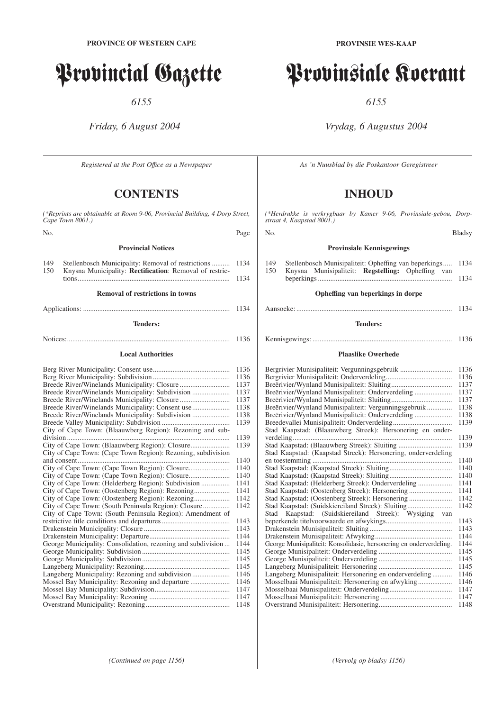# Provincial Gazette

*6155*

# *Friday, 6 August 2004*

*Registered at the Post Offıce as a Newspaper*

# **CONTENTS**

*(\*Reprints are obtainable at Room 9-06, Provincial Building, 4 Dorp Street, Cape Town 8001.)* No. Page **Provincial Notices** 149 Stellenbosch Municipality: Removal of restrictions ........... 1134<br>150 Knysna Municipality: **Rectification:** Removal of restric-150 Knysna Municipality: **Rectification**: Removal of restrictions..................................................................................... 1134 **Removal of restrictions in towns** Applications: .................................................................................. 1134 **Tenders:** Notices:........................................................................................... 1136 **Local Authorities** Berg River Municipality: Consent use........................................... 1136 Berg River Municipality: Subdivision ........................................... 1136 Breede River/Winelands Municipality: Closure ............................ 1137 Breede River/Winelands Municipality: Subdivision ..................... 1137 Breede River/Winelands Municipality: Closure ............................ 1137 Breede River/Winelands Municipality: Consent use..................... 1138 Breede River/Winelands Municipality: Subdivision ..................... 1138 Breede Valley Municipality: Subdivision ...................................... 1139 City of Cape Town: (Blaauwberg Region): Rezoning and subdivision ........................................................................................... 1139 City of Cape Town: (Blaauwberg Region): Closure...................... 1139 City of Cape Town: (Cape Town Region): Rezoning, subdivision and consent..................................................................................... 1140 City of Cape Town: (Cape Town Region): Closure....................... 1140 City of Cape Town: (Cape Town Region): Closure....................... 1140 City of Cape Town: (Helderberg Region): Subdivision ................ 1141 City of Cape Town: (Oostenberg Region): Rezoning.................... 1141 City of Cape Town: (Oostenberg Region): Rezoning.................... 1142 City of Cape Town: (South Peninsula Region): Closure............... 1142 City of Cape Town: (South Peninsula Region): Amendment of restrictive title conditions and departures ...................................... 1143 Drakenstein Municipality: Closure ................................................ 1143 Drakenstein Municipality: Departure............................................. 1144 George Municipality: Consolidation, rezoning and subdivision ... 1144 George Municipality: Subdivision ................................................. 1145 George Municipality: Subdivision ................................................. 1145 Langeberg Municipality: Rezoning................................................ 1145 Langeberg Municipality: Rezoning and subdivision ..................... 1146 Mossel Bay Municipality: Rezoning and departure ...................... 1146 Mossel Bay Municipality: Subdivision.......................................... 1147 Mossel Bay Municipality: Rezoning ............................................. 1147 Overstrand Municipality: Rezoning............................................... 1148

# Provinsiale Koerant

*6155*

# *Vrydag, 6 Augustus 2004*

*As 'n Nuusblad by die Poskantoor Geregistreer*

# **INHOUD**

*(\*Herdrukke is verkrygbaar by Kamer 9-06, Provinsiale-gebou, Dorpstraat 4, Kaapstad 8001.)*

#### No. Bladsy

#### **Provinsiale Kennisgewings**

149 Stellenbosch Munisipaliteit: Opheffing van beperkings..... 1134<br>150 Knysna Munisipaliteit: Regstelling: Opheffing van 150 Knysna Munisipaliteit: **Regstelling:** Opheffing van beperkings ........................................................................... 1134

# **Opheffing van beperkings in dorpe**

#### Aansoeke: ....................................................................................... 1134

#### **Tenders:**

## Kennisgewings: .............................................................................. 1136

#### **Plaaslike Owerhede**

| Bergrivier Munisipaliteit: Vergunningsgebruik                       | 1136 |
|---------------------------------------------------------------------|------|
|                                                                     | 1136 |
|                                                                     | 1137 |
| Breërivier/Wynland Munisipaliteit: Onderverdeling                   | 1137 |
|                                                                     | 1137 |
| Breërivier/Wynland Munisipaliteit: Vergunningsgebruik               | 1138 |
| Breërivier/Wynland Munisipaliteit: Onderverdeling                   | 1138 |
|                                                                     | 1139 |
| Stad Kaapstad: (Blaauwberg Streek): Hersonering en onder-           |      |
|                                                                     | 1139 |
| Stad Kaapstad: (Blaauwberg Streek): Sluiting                        | 1139 |
| Stad Kaapstad: (Kaapstad Streek): Hersonering, onderverdeling       |      |
|                                                                     | 1140 |
|                                                                     | 1140 |
|                                                                     | 1140 |
|                                                                     | 1141 |
| Stad Kaapstad: (Oostenberg Streek): Hersonering                     | 1141 |
| Stad Kaapstad: (Oostenberg Streek): Hersonering                     | 1142 |
| Stad Kaapstad: (Suidskiereiland Streek): Sluiting                   | 1142 |
| Kaapstad: (Suidskiereiland Streek): Wysiging van<br>Stad            |      |
|                                                                     | 1143 |
|                                                                     | 1143 |
|                                                                     | 1144 |
| George Munisipaliteit: Konsolidasie, hersonering en onderverdeling. | 1144 |
|                                                                     | 1145 |
|                                                                     | 1145 |
|                                                                     | 1145 |
| Langeberg Munisipaliteit: Hersonering en onderverdeling             | 1146 |
|                                                                     | 1146 |
|                                                                     | 1147 |
|                                                                     | 1147 |
|                                                                     | 1148 |

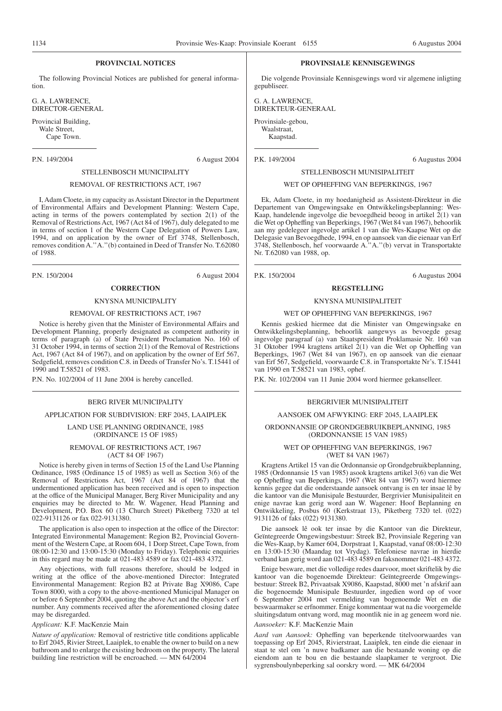# **PROVINCIAL NOTICES**

The following Provincial Notices are published for general information.

G. A. LAWRENCE, DIRECTOR-GENERAL

Provincial Building, Wale Street, Cape Town.

P.N. 149/2004 6 August 2004

#### STELLENBOSCH MUNICIPALITY

# REMOVAL OF RESTRICTIONS ACT, 1967

I, Adam Cloete, in my capacity as Assistant Director in the Department of Environmental Affairs and Development Planning: Western Cape, acting in terms of the powers contemplated by section 2(1) of the Removal of Restrictions Act, 1967 (Act 84 of 1967), duly delegated to me in terms of section 1 of the Western Cape Delegation of Powers Law, 1994, and on application by the owner of Erf 3748, Stellenbosch, removes condition A."A."(b) contained in Deed of Transfer No. T.62080 of 1988.

P.N. 150/2004 6 August 2004

# **CORRECTION**

# KNYSNA MUNICIPALITY

#### REMOVAL OF RESTRICTIONS ACT, 1967

Notice is hereby given that the Minister of Environmental Affairs and Development Planning, properly designated as competent authority in terms of paragraph (a) of State President Proclamation No. 160 of 31 October 1994, in terms of section 2(1) of the Removal of Restrictions Act, 1967 (Act 84 of 1967), and on application by the owner of Erf 567, Sedgefield, removes condition C.8. in Deeds of Transfer No's. T.15441 of 1990 and T.58521 of 1983.

P.N. No. 102/2004 of 11 June 2004 is hereby cancelled.

#### BERG RIVER MUNICIPALITY

#### APPLICATION FOR SUBDIVISION: ERF 2045, LAAIPLEK

LAND USE PLANNING ORDINANCE, 1985 (ORDINANCE 15 OF 1985)

#### REMOVAL OF RESTRICTIONS ACT, 1967 (ACT 84 OF 1967)

Notice is hereby given in terms of Section 15 of the Land Use Planning Ordinance, 1985 (Ordinance 15 of 1985) as well as Section 3(6) of the Removal of Restrictions Act, 1967 (Act 84 of 1967) that the undermentioned application has been received and is open to inspection at the office of the Municipal Manager, Berg River Municipality and any enquiries may be directed to Mr. W. Wagener, Head Planning and Development, P.O. Box 60 (13 Church Street) Piketberg 7320 at tel 022-9131126 or fax 022-9131380.

The application is also open to inspection at the office of the Director: Integrated Environmental Management: Region B2, Provincial Government of the Western Cape, at Room 604, 1 Dorp Street, Cape Town, from 08:00-12:30 and 13:00-15:30 (Monday to Friday). Telephonic enquiries in this regard may be made at 021-483 4589 or fax 021-483 4372.

Any objections, with full reasons therefore, should be lodged in writing at the office of the above-mentioned Director: Integrated Environmental Management: Region B2 at Private Bag X9086, Cape Town 8000, with a copy to the above-mentioned Municipal Manager on or before 6 September 2004, quoting the above Act and the objector's erf number. Any comments received after the aforementioned closing datee may be disregarded.

#### *Applicant:* K.F. MacKenzie Main

*Nature of application:* Removal of restrictive title conditions applicable to Erf 2045, Rivier Street, Laaiplek, to enable the owner to build on a new bathroom and to enlarge the existing bedroom on the property. The lateral building line restriction will be encroached. — MN 64/2004

#### **PROVINSIALE KENNISGEWINGS**

Die volgende Provinsiale Kennisgewings word vir algemene inligting gepubliseer.

G. A. LAWRENCE, DIREKTEUR-GENERAAL Provinsiale-gebou, Waalstraat, Kaapstad.

P.K. 149/2004 6 Augustus 2004

#### STELLENBOSCH MUNISIPALITEIT

# WET OP OPHEFFING VAN BEPERKINGS, 1967

Ek, Adam Cloete, in my hoedanigheid as Assistent-Direkteur in die Departement van Omgewingsake en Ontwikkelingsbeplanning: Wes-Kaap, handelende ingevolge die bevoegdheid beoog in artikel 2(1) van die Wet op Opheffing van Beperkings, 1967 (Wet 84 van 1967), behoorlik aan my gedelegeer ingevolge artikel 1 van die Wes-Kaapse Wet op die Delegasie van Bevoegdhede, 1994, en op aansoek van die eienaar van Erf 3748, Stellenbosch, hef voorwaarde A.''A.''(b) vervat in Transportakte Nr. T.62080 van 1988, op.

P.K. 150/2004 6 Augustus 2004

#### **REGSTELLING**

#### KNYSNA MUNISIPALITEIT

#### WET OP OPHEFFING VAN BEPERKINGS, 1967

Kennis geskied hiermee dat die Minister van Omgewingsake en Ontwikkelingsbeplanning, behoorlik aangewys as bevoegde gesag ingevolge paragraaf (a) van Staatspresident Proklamasie Nr. 160 van 31 Oktober 1994 kragtens artikel 2(1) van die Wet op Opheffing van Beperkings, 1967 (Wet 84 van 1967), en op aansoek van die eienaar van Erf 567, Sedgefield, voorwaarde C.8. in Transportakte Nr's. T.15441 van 1990 en T.58521 van 1983, ophef.

P.K. Nr. 102/2004 van 11 Junie 2004 word hiermee gekanselleer.

#### BERGRIVIER MUNISIPALITEIT

#### AANSOEK OM AFWYKING: ERF 2045, LAAIPLEK

ORDONNANSIE OP GRONDGEBRUIKBEPLANNING, 1985 (ORDONNANSIE 15 VAN 1985)

> WET OP OPHEFFING VAN BEPERKINGS, 1967 (WET 84 VAN 1967)

Kragtens Artikel 15 van die Ordonnansie op Grondgebruikbeplanning, 1985 (Ordonnansie 15 van 1985) asook kragtens artikel 3(6) van die Wet op Opheffing van Beperkings, 1967 (Wet 84 van 1967) word hiermee kennis gegee dat die onderstaande aansoek ontvang is en ter insae lê by die kantoor van die Munisipale Bestuurder, Bergrivier Munisipaliteit en enige navrae kan gerig word aan W. Wagener: Hoof Beplanning en Ontwikkeling, Posbus 60 (Kerkstraat 13), Piketberg 7320 tel. (022) 9131126 of faks (022) 9131380.

Die aansoek lê ook ter insae by die Kantoor van die Direkteur, Geïntegreerde Omgewingsbestuur: Streek B2, Provinsiale Regering van die Wes-Kaap, by Kamer 604, Dorpstraat 1, Kaapstad, vanaf 08:00-12:30 en 13:00-15:30 (Maandag tot Vrydag). Telefoniese navrae in hierdie verband kan gerig word aan 021-483 4589 en faksnommer 021-483 4372.

Enige besware, met die volledige redes daarvoor, moet skriftelik by die kantoor van die bogenoemde Direkteur: Geïntegreerde Omgewingsbestuur: Streek B2, Privaatsak X9086, Kaapstad, 8000 met 'n afskrif aan die bogenoemde Munisipale Bestuurder, ingedien word op of voor 6 September 2004 met vermelding van bogenoemde Wet en die beswaarmaker se erfnommer. Enige kommentaar wat na die voorgemelde sluitingsdatum ontvang word, mag moontlik nie in ag geneem word nie.

#### *Aansoeker:* K.F. MacKenzie Main

*Aard van Aansoek:* Opheffing van beperkende titelvoorwaardes van toepassing op Erf 2045, Rivierstraat, Laaiplek, ten einde die eienaar in staat te stel om 'n nuwe badkamer aan die bestaande woning op die eiendom aan te bou en die bestaande slaapkamer te vergroot. Die sygrensboulynbeperking sal oorskry word. — MK 64/2004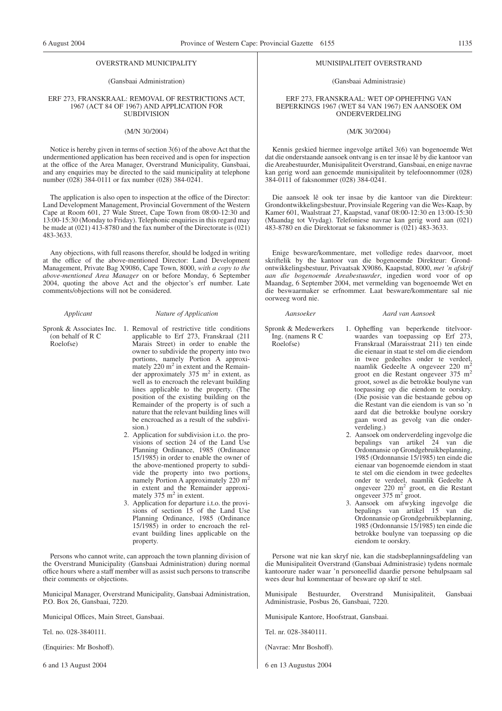#### OVERSTRAND MUNICIPALITY

#### (Gansbaai Administration)

#### ERF 273, FRANSKRAAL: REMOVAL OF RESTRICTIONS ACT, 1967 (ACT 84 OF 1967) AND APPLICATION FOR SUBDIVISION

#### (M/N 30/2004)

Notice is hereby given in terms of section 3(6) of the above Act that the undermentioned application has been received and is open for inspection at the office of the Area Manager, Overstrand Municipality, Gansbaai, and any enquiries may be directed to the said municipality at telephone number (028) 384-0111 or fax number (028) 384-0241.

The application is also open to inspection at the office of the Director: Land Development Management, Provincial Government of the Western Cape at Room 601, 27 Wale Street, Cape Town from 08:00-12:30 and 13:00-15:30 (Monday to Friday). Telephonic enquiries in this regard may be made at  $(021)$  413-8780 and the fax number of the Directorate is  $(021)$ 483-3633.

Any objections, with full reasons therefor, should be lodged in writing at the office of the above-mentioned Director: Land Development Management, Private Bag X9086, Cape Town, 8000, *with a copy to the above-mentioned Area Manager* on or before Monday, 6 September 2004, quoting the above Act and the objector's erf number. Late comments/objections will not be considered.

#### *Applicant Nature of Application*

- Spronk & Associates Inc. 1. Removal of restrictive title conditions (on behalf of R C Roelofse)
	- applicable to Erf 273, Franskraal (211 Marais Street) in order to enable the owner to subdivide the property into two portions, namely Portion A approximately  $220 \text{ m}^2$  in extent and the Remainder approximately  $375 \text{ m}^2$  in extent, as well as to encroach the relevant building lines applicable to the property. (The position of the existing building on the Remainder of the property is of such a nature that the relevant building lines will be encroached as a result of the subdivision.)
		- 2. Application for subdivision i.t.o. the provisions of section 24 of the Land Use Planning Ordinance, 1985 (Ordinance 15/1985) in order to enable the owner of the above-mentioned property to subdivide the property into two portions, namely Portion A approximately 220 m<sup>2</sup> in extent and the Remainder approxi-<br>mately 375 m<sup>2</sup> in extent.
		- 3. Application for departure i.t.o. the provisions of section 15 of the Land Use Planning Ordinance, 1985 (Ordinance 15/1985) in order to encroach the relevant building lines applicable on the property.

Persons who cannot write, can approach the town planning division of the Overstrand Municipality (Gansbaai Administration) during normal office hours where a staff member will as assist such persons to transcribe their comments or objections.

Municipal Manager, Overstrand Municipality, Gansbaai Administration, P.O. Box 26, Gansbaai, 7220.

Municipal Offices, Main Street, Gansbaai.

Tel. no. 028-3840111.

(Enquiries: Mr Boshoff).

6 and 13 August 2004

#### MUNISIPALITEIT OVERSTRAND

(Gansbaai Administrasie)

ERF 273, FRANSKRAAL: WET OP OPHEFFING VAN BEPERKINGS 1967 (WET 84 VAN 1967) EN AANSOEK OM ONDERVERDELING

#### (M/K 30/2004)

Kennis geskied hiermee ingevolge artikel 3(6) van bogenoemde Wet dat die onderstaande aansoek ontvang is en ter insae lê by die kantoor van die Areabestuurder, Munisipaliteit Overstrand, Gansbaai, en enige navrae kan gerig word aan genoemde munisipaliteit by telefoonnommer (028) 384-0111 of faksnommer (028) 384-0241.

Die aansoek lê ook ter insae by die kantoor van die Direkteur: Grondontwikkelingsbestuur, Provinsiale Regering van die Wes-Kaap, by Kamer 601, Waalstraat 27, Kaapstad, vanaf 08:00-12:30 en 13:00-15:30 (Maandag tot Vrydag). Telefoniese navrae kan gerig word aan (021)  $\overline{483-8780}$  en die Direktoraat se faksnommer is (021)  $\overline{483-3633}$ .

Enige besware/kommentare, met volledige redes daarvoor, moet skriftelik by the kantoor van die bogenoemde Direkteur: Grondontwikkelingsbestuur, Privaatsak X9086, Kaapstad, 8000, *met 'n afskrif aan die bogenoemde Areabestuurder*, ingedien word voor of op Maandag, 6 September 2004, met vermelding van bogenoemde Wet en die beswaarmaker se erfnommer. Laat besware/kommentare sal nie oorweeg word nie.

#### *Aansoeker Aard van Aansoek*

Spronk & Medewerkers Ing. (namens R C Roelofse)

- 1. Opheffing van beperkende titelvoorwaardes van toepassing op Erf 273, Franskraal (Maraisstraat 211) ten einde die eienaar in staat te stel om die eiendom in twee gedeeltes onder te verdeel, naamlik Gedeelte A ongeveer 220 m2 groot en die Restant ongeveer 375 m2 groot, sowel as die betrokke boulyne van toepassing op die eiendom te oorskry. (Die posisie van die bestaande gebou op die Restant van die eiendom is van so 'n aard dat die betrokke boulyne oorskry gaan word as gevolg van die onderverdeling.)
- 2. Aansoek om onderverdeling ingevolge die bepalings van artikel 24 van die Ordonnansie op Grondgebruikbeplanning, 1985 (Ordonnansie 15/1985) ten einde die eienaar van bogenoemde eiendom in staat te stel om die eiendom in twee gedeeltes onder te verdeel, naamlik Gedeelte A<br>ongeveer 220 m<sup>2</sup> groot, en die Restant ongeveer  $375 \text{ m}^2$  groot.
- 3. Aansoek om afwyking ingevolge die bepalings van artikel 15 van die Ordonnansie op Grondgebruikbeplanning, 1985 (Ordonnansie 15/1985) ten einde die betrokke boulyne van toepassing op die eiendom te oorskry.

Persone wat nie kan skryf nie, kan die stadsbeplanningsafdeling van die Munisipaliteit Overstrand (Gansbaai Administrasie) tydens normale kantoorure nader waar 'n personeellid daardie persone behulpsaam sal wees deur hul kommentaar of besware op skrif te stel.

Munisipale Bestuurder, Overstrand Munisipaliteit, Gansbaai Administrasie, Posbus 26, Gansbaai, 7220.

Munisipale Kantore, Hoofstraat, Gansbaai.

Tel. nr. 028-3840111.

(Navrae: Mnr Boshoff).

6 en 13 Augustus 2004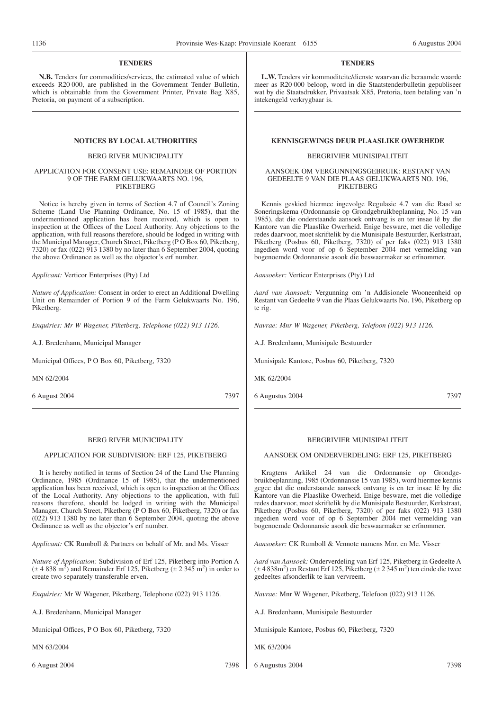# **TENDERS**

**N.B.** Tenders for commodities/services, the estimated value of which exceeds R20 000, are published in the Government Tender Bulletin, which is obtainable from the Government Printer, Private Bag X85, Pretoria, on payment of a subscription.

#### BERG RIVER MUNICIPALITY

#### APPLICATION FOR CONSENT USE: REMAINDER OF PORTION 9 OF THE FARM GELUKWAARTS NO. 196, **PIKETBERG**

Notice is hereby given in terms of Section 4.7 of Council's Zoning Scheme (Land Use Planning Ordinance, No. 15 of 1985), that the undermentioned application has been received, which is open to inspection at the Offices of the Local Authority. Any objections to the application, with full reasons therefore, should be lodged in writing with the Municipal Manager, Church Street, Piketberg (P O Box 60, Piketberg, 7320) or fax (022) 913 1380 by no later than 6 September 2004, quoting the above Ordinance as well as the objector's erf number.

*Applicant:* Verticor Enterprises (Pty) Ltd

*Nature of Application:* Consent in order to erect an Additional Dwelling Unit on Remainder of Portion 9 of the Farm Gelukwaarts No. 196, Piketberg.

*Enquiries: Mr W Wagener, Piketberg, Telephone (022) 913 1126.*

A.J. Bredenhann, Municipal Manager

Municipal Offices, P O Box 60, Piketberg, 7320

MN 62/2004

6 August 2004 7397

# **TENDERS**

**L.W.** Tenders vir kommoditeite/dienste waarvan die beraamde waarde meer as R20 000 beloop, word in die Staatstenderbulletin gepubliseer wat by die Staatsdrukker, Privaatsak X85, Pretoria, teen betaling van 'n intekengeld verkrygbaar is.

## **NOTICES BY LOCAL AUTHORITIES KENNISGEWINGS DEUR PLAASLIKE OWERHEDE**

#### BERGRIVIER MUNISIPALITEIT

#### AANSOEK OM VERGUNNINGSGEBRUIK: RESTANT VAN GEDEELTE 9 VAN DIE PLAAS GELUKWAARTS NO. 196, **PIKETBERG**

Kennis geskied hiermee ingevolge Regulasie 4.7 van die Raad se Soneringskema (Ordonnansie op Grondgebruikbeplanning, No. 15 van 1985), dat die onderstaande aansoek ontvang is en ter insae lê by die Kantore van die Plaaslike Owerheid. Enige besware, met die volledige redes daarvoor, moet skriftelik by die Munisipale Bestuurder, Kerkstraat, Piketberg (Posbus 60, Piketberg, 7320) of per faks (022) 913 1380 ingedien word voor of op 6 September 2004 met vermelding van bogenoemde Ordonnansie asook die beswaarmaker se erfnommer.

*Aansoeker:* Verticor Enterprises (Pty) Ltd

*Aard van Aansoek:* Vergunning om 'n Addisionele Wooneenheid op Restant van Gedeelte 9 van die Plaas Gelukwaarts No. 196, Piketberg op te rig.

*Navrae: Mnr W Wagener, Piketberg, Telefoon (022) 913 1126.*

A.J. Bredenhann, Munisipale Bestuurder

Munisipale Kantore, Posbus 60, Piketberg, 7320

MK 62/2004

6 Augustus 2004 7397

# BERG RIVER MUNICIPALITY

#### APPLICATION FOR SUBDIVISION: ERF 125, PIKETBERG

It is hereby notified in terms of Section 24 of the Land Use Planning Ordinance, 1985 (Ordinance 15 of 1985), that the undermentioned application has been received, which is open to inspection at the Offices of the Local Authority. Any objections to the application, with full reasons therefore, should be lodged in writing with the Municipal Manager, Church Street, Piketberg (P O Box 60, Piketberg, 7320) or fax (022) 913 1380 by no later than 6 September 2004, quoting the above Ordinance as well as the objector's erf number.

*Applicant:* CK Rumboll & Partners on behalf of Mr. and Ms. Visser

*Nature of Application:* Subdivision of Erf 125, Piketberg into Portion A  $(\pm 4838 \text{ m}^2)$  and Remainder Erf 125, Piketberg  $(\pm 2345 \text{ m}^2)$  in order to create two separately transferable erven.

*Enquiries:* Mr W Wagener, Piketberg, Telephone (022) 913 1126.

A.J. Bredenhann, Municipal Manager

Municipal Offices, P O Box 60, Piketberg, 7320

MN 63/2004

#### BERGRIVIER MUNISIPALITEIT

#### AANSOEK OM ONDERVERDELING: ERF 125, PIKETBERG

Kragtens Arkikel 24 van die Ordonnansie op Grondgebruikbeplanning, 1985 (Ordonnansie 15 van 1985), word hiermee kennis gegee dat die onderstaande aansoek ontvang is en ter insae lê by die Kantore van die Plaaslike Owerheid. Enige besware, met die volledige redes daarvoor, moet skriftelik by die Munisipale Bestuurder, Kerkstraat, Piketberg (Posbus 60, Piketberg, 7320) of per faks (022) 913 1380 ingedien word voor of op 6 September 2004 met vermelding van bogenoemde Ordonnansie asook die beswaarmaker se erfnommer.

*Aansoeker:* CK Rumboll & Vennote namens Mnr. en Me. Visser

*Aard van Aansoek:* Onderverdeling van Erf 125, Piketberg in Gedeelte A  $(\pm 4.838 \text{m}^2)$  en Restant Erf 125, Piketberg ( $\pm 2.345 \text{ m}^2$ ) ten einde die twee gedeeltes afsonderlik te kan vervreem.

*Navrae:* Mnr W Wagener, Piketberg, Telefoon (022) 913 1126.

A.J. Bredenhann, Munisipale Bestuurder

Munisipale Kantore, Posbus 60, Piketberg, 7320

MK 63/2004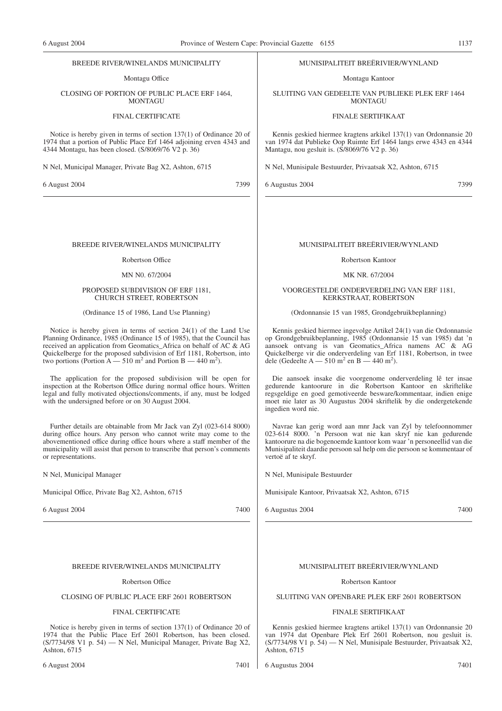#### BREEDE RIVER/WINELANDS MUNICIPALITY

Montagu Office

#### CLOSING OF PORTION OF PUBLIC PLACE ERF 1464, **MONTAGU**

# FINAL CERTIFICATE

Notice is hereby given in terms of section 137(1) of Ordinance 20 of 1974 that a portion of Public Place Erf 1464 adjoining erven 4343 and 4344 Montagu, has been closed. (S/8069/76 V2 p. 36)

N Nel, Municipal Manager, Private Bag X2, Ashton, 6715

6 August 2004 7399

#### BREEDE RIVER/WINELANDS MUNICIPALITY

#### Robertson Office

# MN N0. 67/2004

#### PROPOSED SUBDIVISION OF ERF 1181, CHURCH STREET, ROBERTSON

#### (Ordinance 15 of 1986, Land Use Planning)

Notice is hereby given in terms of section 24(1) of the Land Use Planning Ordinance, 1985 (Ordinance 15 of 1985), that the Council has received an application from Geomatics\_Africa on behalf of AC & AG Quickelberge for the proposed subdivision of Erf 1181, Robertson, into two portions (Portion  $A - 510$  m<sup>2</sup> and Portion B  $- 440$  m<sup>2</sup>).

The application for the proposed subdivision will be open for inspection at the Robertson Office during normal office hours. Written legal and fully motivated objections/comments, if any, must be lodged with the undersigned before or on 30 August 2004.

Further details are obtainable from Mr Jack van Zyl (023-614 8000) during office hours. Any person who cannot write may come to the abovementioned office during office hours where a staff member of the municipality will assist that person to transcribe that person's comments or representations.

N Nel, Municipal Manager

Municipal Office, Private Bag X2, Ashton, 6715

6 August 2004 7400

#### BREEDE RIVER/WINELANDS MUNICIPALITY

#### Robertson Office

# CLOSING OF PUBLIC PLACE ERF 2601 ROBERTSON

#### FINAL CERTIFICATE

Notice is hereby given in terms of section 137(1) of Ordinance 20 of 1974 that the Public Place Erf 2601 Robertson, has been closed.  $(S/7734/98 \text{ V1 p. } 54)$  – N Nel, Municipal Manager, Private Bag X2, Ashton, 6715

#### MUNISIPALITEIT BREËRIVIER/WYNLAND

Montagu Kantoor

SLUITING VAN GEDEELTE VAN PUBLIEKE PLEK ERF 1464 **MONTAGU** 

#### FINALE SERTIFIKAAT

Kennis geskied hiermee kragtens arkikel 137(1) van Ordonnansie 20 van 1974 dat Publieke Oop Ruimte Erf 1464 langs erwe 4343 en 4344 Mantagu, nou gesluit is. (S/8069/76 V2 p. 36)

N Nel, Munisipale Bestuurder, Privaatsak X2, Ashton, 6715

6 Augustus 2004 7399

#### MUNISIPALITEIT BREËRIVIER/WYNLAND

#### Robertson Kantoor

#### MK NR. 67/2004

#### VOORGESTELDE ONDERVERDELING VAN ERF 1181, KERKSTRAAT, ROBERTSON

#### (Ordonnansie 15 van 1985, Grondgebruikbeplanning)

Kennis geskied hiermee ingevolge Artikel 24(1) van die Ordonnansie op Grondgebruikbeplanning, 1985 (Ordonnansie 15 van 1985) dat 'n aansoek ontvang is van Geomatics\_Africa namens AC & AG Quickelberge vir die onderverdeling van Erf 1181, Robertson, in twee dele (Gedeelte A — 510 m<sup>2</sup> en B — 440 m<sup>2</sup>).

Die aansoek insake die voorgenome onderverdeling lê ter insae gedurende kantoorure in die Robertson Kantoor en skriftelike regsgeldige en goed gemotiveerde besware/kommentaar, indien enige moet nie later as 30 Augustus 2004 skriftelik by die ondergetekende ingedien word nie.

Navrae kan gerig word aan mnr Jack van Zyl by telefoonnommer 023-614 8000. 'n Persoon wat nie kan skryf nie kan gedurende kantoorure na die bogenoemde kantoor kom waar 'n personeellid van die Munisipaliteit daardie persoon sal help om die persoon se kommentaar of vertoë af te skryf.

N Nel, Munisipale Bestuurder

Munisipale Kantoor, Privaatsak X2, Ashton, 6715

6 Augustus 2004 7400

#### MUNISIPALITEIT BREËRIVIER/WYNLAND

#### Robertson Kantoor

# SLUITING VAN OPENBARE PLEK ERF 2601 ROBERTSON

#### FINALE SERTIFIKAAT

Kennis geskied hiermee kragtens artikel 137(1) van Ordonnansie 20 van 1974 dat Openbare Plek Erf 2601 Robertson, nou gesluit is. (S/7734/98 V1 p. 54) — N Nel, Munisipale Bestuurder, Privaatsak X2, Ashton, 6715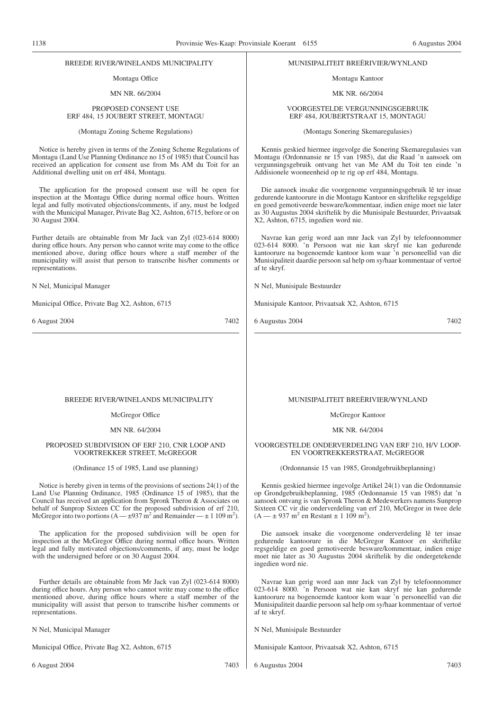#### BREEDE RlVER/WINELANDS MUNICIPALITY

# Montagu Office

MN NR. 66/2004

#### PROPOSED CONSENT USE ERF 484, 15 JOUBERT STREET, MONTAGU

(Montagu Zoning Scheme Regulations)

Notice is hereby given in terms of the Zoning Scheme Regulations of Montagu (Land Use Planning Ordinance no 15 of 1985) that Council has received an application for consent use from Ms AM du Toit for an Additional dwelling unit on erf 484, Montagu.

The application for the proposed consent use will be open for inspection at the Montagu Office during normal office hours. Written legal and fully motivated objections/comments, if any, must be lodged with the Municipal Manager, Private Bag X2, Ashton, 6715, before or on 30 August 2004.

Further details are obtainable from Mr Jack van Zyl (023-614 8000) during office hours. Any person who cannot write may come to the office mentioned above, during office hours where a staff member of the municipality will assist that person to transcribe his/her comments or representations.

N Nel, Municipal Manager

Municipal Office, Private Bag X2, Ashton, 6715

6 August 2004 7402

# MUNISIPALITEIT BREËRIVIER/WYNLAND

Montagu Kantoor

MK NR. 66/2004

#### VOORGESTELDE VERGUNNINGSGEBRUIK ERF 484, JOUBERTSTRAAT 15, MONTAGU

(Montagu Sonering Skemaregulasies)

Kennis geskied hiermee ingevolge die Sonering Skemaregulasies van Montagu (Ordonnansie nr 15 van 1985), dat die Raad 'n aansoek om vergunningsgebruik ontvang het van Me AM du Toit ten einde 'n Addisionele wooneenheid op te rig op erf 484, Montagu.

Die aansoek insake die voorgenome vergunningsgebruik lê ter insae gedurende kantoorure in die Montagu Kantoor en skriftelike regsgeldige en goed gemotiveerde besware/kommentaar, indien enige moet nie later as 30 Augustus 2004 skriftelik by die Munisipale Bestuurder, Privaatsak X2, Ashton, 6715, ingedien word nie.

Navrae kan gerig word aan mnr Jack van Zyl by telefoonnommer 023-614 8000. 'n Persoon wat nie kan skryf nie kan gedurende kantoorure na bogenoemde kantoor kom waar 'n personeellid van die Munisipaliteit daardie persoon sal help om sy/haar kommentaar of vertoë af te skryf.

N Nel, Munisipale Bestuurder

Munisipale Kantoor, Privaatsak X2, Ashton, 6715

6 Augustus 2004 7402

#### BREEDE RIVER/WINELANDS MUNICIPALITY

#### McGregor Office

MN NR. 64/2004

#### PROPOSED SUBDIVISION OF ERF 210, CNR LOOP AND VOORTREKKER STREET, McGREGOR

(Ordinance 15 of 1985, Land use planning)

Notice is hereby given in terms of the provisions of sections 24(1) of the Land Use Planning Ordinance, 1985 (Ordinance 15 of 1985), that the Council has received an application from Spronk Theron & Associates on behalf of Sunprop Sixteen CC for the proposed subdivision of erf 210, McGregor into two portions  $(A - \pm 937 \text{ m}^2 \text{ and Remainder} - \pm 1109 \text{ m}^2)$ .

The application for the proposed subdivision will be open for inspection at the McGregor Office during normal office hours. Written legal and fully motivated objections/comments, if any, must be lodge with the undersigned before or on 30 August 2004.

Further details are obtainable from Mr Jack van Zyl (023-614 8000) during office hours. Any person who cannot write may come to the office mentioned above, during office hours where a staff member of the municipality will assist that person to transcribe his/her comments or representations.

N Nel, Municipal Manager

Municipal Office, Private Bag X2, Ashton, 6715

6 August 2004 7403

#### MUNISIPALITEIT BREËRIVIER/WYNLAND

McGregor Kantoor

# MK NR. 64/2004

VOORGESTELDE ONDERVERDELING VAN ERF 210, H/V LOOP-EN VOORTREKKERSTRAAT, McGREGOR

(Ordonnansie 15 van 1985, Grondgebruikbeplanning)

Kennis geskied hiermee ingevolge Artikel 24(1) van die Ordonnansie op Grondgebruikbeplanning, 1985 (Ordonnansie 15 van 1985) dat 'n aansoek ontvang is van Spronk Theron & Medewerkers namens Sunprop Sixteen CC vir die onderverdeling van erf 210, McGregor in twee dele  $(A - \pm 937 \text{ m}^2 \text{ en Restant} \pm 1.109 \text{ m}^2).$ 

Die aansoek insake die voorgenome onderverdeling lê ter insae gedurende kantoorure in die McGregor Kantoor en skriftelike regsgeldige en goed gemotiveerde besware/kommentaar, indien enige moet nie later as 30 Augustus 2004 skriftelik by die ondergetekende ingedien word nie.

Navrae kan gerig word aan mnr Jack van Zyl by telefoonnommer 023-614 8000. 'n Persoon wat nie kan skryf nie kan gedurende kantoorure na bogenoemde kantoor kom waar 'n personeellid van die Munisipaliteit daardie persoon sal help om sy/haar kommentaar of vertoë af te skryf.

N Nel, Munisipale Bestuurder

Munisipale Kantoor, Privaatsak X2, Ashton, 6715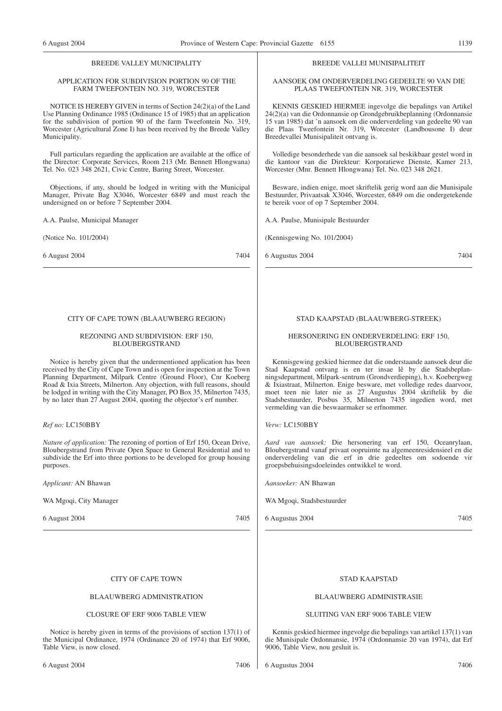# BREEDE VALLEY MUNICIPALITY

#### APPLICATION FOR SUBDIVISION PORTION 90 OF THE FARM TWEEFONTEIN NO. 319, WORCESTER

NOTICE IS HEREBY GIVEN in terms of Section 24(2)(a) of the Land Use Planning Ordinance 1985 (Ordinance 15 of 1985) that an application for the subdivision of portion 90 of the farm Tweefontein No. 319, Worcester (Agricultural Zone I) has been received by the Breede Valley Municipality.

Full particulars regarding the application are available at the office of the Director: Corporate Services, Room 213 (Mr. Bennett Hlongwana) Tel. No. 023 348 2621, Civic Centre, Baring Street, Worcester.

Objections, if any, should be lodged in writing with the Municipal Manager, Private Bag X3046, Worcester 6849 and must reach the undersigned on or before 7 September 2004.

A.A. Paulse, Municipal Manager

(Notice No. 101/2004)

6 August 2004 7404

#### CITY OF CAPE TOWN (BLAAUWBERG REGION)

#### REZONING AND SUBDIVISION: ERF 150, BLOUBERGSTRAND

Notice is hereby given that the undermentioned application has been received by the City of Cape Town and is open for inspection at the Town Planning Department, Milpark Centre (Ground Floor), Cnr Koeberg Road & Ixia Streets, Milnerton. Any objection, with full reasons, should be lodged in writing with the City Manager, PO Box 35, Milnerton 7435, by no later than 27 August 2004, quoting the objector's erf number.

#### *Ref no:* LC150BBY

*Nature of application:* The rezoning of portion of Erf 150, Ocean Drive, Bloubergstrand from Private Open Space to General Residential and to subdivide the Erf into three portions to be developed for group housing purposes.

*Applicant:* AN Bhawan

WA Mgoqi, City Manager

6 August 2004 7405

# CITY OF CAPE TOWN

# BLAAUWBERG ADMINISTRATION

# CLOSURE OF ERF 9006 TABLE VIEW

Notice is hereby given in terms of the provisions of section 137(1) of the Municipal Ordinance, 1974 (Ordinance 20 of 1974) that Erf 9006, Table View, is now closed.

#### BREEDE VALLEI MUNISIPALITEIT

AANSOEK OM ONDERVERDELING GEDEELTE 90 VAN DIE PLAAS TWEEFONTEIN NR. 319, WORCESTER

KENNIS GESKIED HlERMEE ingevolge die bepalings van Artikel 24(2)(a) van die Ordonnansie op Grondgebruikbeplanning (Ordonnansie 15 van 1985) dat 'n aansoek om die onderverdeling van gedeelte 90 van die Plaas Tweefontein Nr. 319, Worcester (Landbousone I) deur Breedevallei Munisipaliteit ontvang is.

Volledige besonderhede van die aansoek sal beskikbaar gestel word in die kantoor van die Direkteur: Korporatiewe Dienste, Kamer 213, Worcester (Mnr. Bennett Hlongwana) Tel. No. 023 348 2621.

Besware, indien enige, moet skriftelik gerig word aan die Munisipale Bestuurder, Privaatsak X3046, Worcester, 6849 om die ondergetekende te bereik voor of op 7 September 2004.

A.A. Paulse, Munisipale Bestuurder

(Kennisgewing No. 101/2004)

6 Augustus 2004 7404

# STAD KAAPSTAD (BLAAUWBERG-STREEK)

#### HERSONERING EN ONDERVERDELING: ERF 150, BLOUBERGSTRAND

Kennisgewing geskied hiermee dat die onderstaande aansoek deur die Stad Kaapstad ontvang is en ter insae lê by die Stadsbeplanningsdepartment, Milpark-sentrum (Grondverdieping), h.v. Koebergweg & Ixiastraat, Milnerton. Enige besware, met volledige redes daarvoor, moet teen nie later nie as 27 Augustus 2004 skriftelik by die Stadsbestuurder, Posbus 35, Milnerton 7435 ingedien word, met vermelding van die beswaarmaker se erfnommer.

*Verw:* LC150BBY

*Aard van aansoek:* Die hersonering van erf 150, Oceanrylaan, Bloubergstrand vanaf privaat oopruimte na algemeenresidensieel en die onderverdeling van die erf in drie gedeeltes om sodoende vir groepsbehuisingsdoeleindes ontwikkel te word.

*Aansoeker:* AN Bhawan

WA Mgoqi, Stadsbestuurder

6 Augustus 2004 7405

# STAD KAAPSTAD

#### BLAAUWBERG ADMINISTRASIE

# SLUITING VAN ERF 9006 TABLE VIEW

Kennis geskied hiermee ingevolge die bepalings van artikel 137(1) van die Munisipale Ordonnansie, 1974 (Ordonnansie 20 van 1974), dat Erf 9006, Table View, nou gesluit is.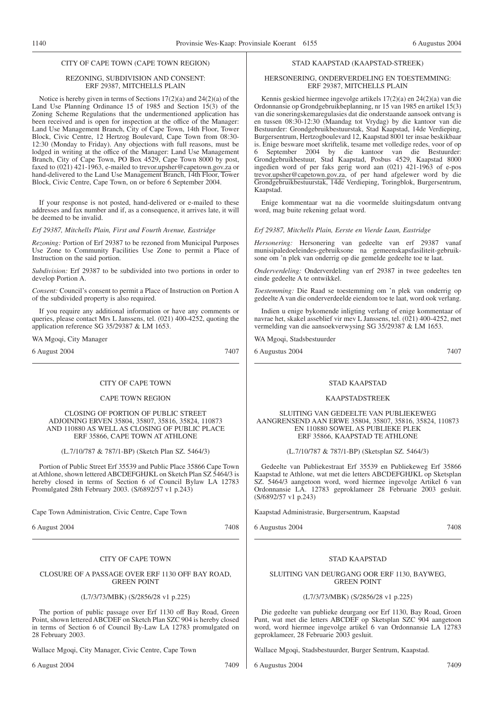### CITY OF CAPE TOWN (CAPE TOWN REGION)

#### REZONING, SUBDIVISION AND CONSENT: ERF 29387, MITCHELLS PLAIN

Notice is hereby given in terms of Sections 17(2)(a) and 24(2)(a) of the Land Use Planning Ordinance 15 of 1985 and Section 15(3) of the Zoning Scheme Regulations that the undermentioned application has been received and is open for inspection at the office of the Manager: Land Use Management Branch, City of Cape Town, 14th Floor, Tower Block, Civic Centre, 12 Hertzog Boulevard, Cape Town from 08:30- 12:30 (Monday to Friday). Any objections with full reasons, must be lodged in writing at the office of the Manager: Land Use Management Branch, City of Cape Town, PO Box 4529, Cape Town 8000 by post, faxed to (021) 421-1963, e-mailed to trevor.upsher@capetown.gov.za or hand-delivered to the Land Use Management Branch, 14th Floor, Tower Block, Civic Centre, Cape Town, on or before 6 September 2004.

If your response is not posted, hand-delivered or e-mailed to these addresses and fax number and if, as a consequence, it arrives late, it will be deemed to be invalid.

*Erf 29387, Mitchells Plain, First and Fourth Avenue, Eastridge*

*Rezoning:* Portion of Erf 29387 to be rezoned from Municipal Purposes Use Zone to Community Facilities Use Zone to permit a Place of Instruction on the said portion.

*Subdivision:* Erf 29387 to be subdivided into two portions in order to develop Portion A.

*Consent:* Council's consent to permit a Place of Instruction on Portion A of the subdivided property is also required.

If you require any additional information or have any comments or queries, please contact Mrs L Janssens, tel. (021) 400-4252, quoting the application reference SG 35/29387 & LM 1653.

WA Mgoqi, City Manager

6 August 2004 7407

#### CITY OF CAPE TOWN

#### CAPE TOWN REGION

CLOSING OF PORTION OF PUBLIC STREET ADJOINING ERVEN 35804, 35807, 35816, 35824, 110873 AND 110880 AS WELL AS CLOSING OF PUBLIC PLACE ERF 35866, CAPE TOWN AT ATHLONE

(L.7/10/787 & 787/1-BP) (Sketch Plan SZ. 5464/3)

Portion of Public Street Erf 35539 and Public Place 35866 Cape Town at Athlone, shown lettered ABCDEFGHJKL on Sketch Plan SZ 5464/3 is hereby closed in terms of Section 6 of Council Bylaw LA 12783 Promulgated 28th February 2003. (S/6892/57 v1 p.243)

Cape Town Administration, Civic Centre, Cape Town

6 August 2004 7408

# CITY OF CAPE TOWN

#### CLOSURE OF A PASSAGE OVER ERF 1130 OFF BAY ROAD, GREEN POINT

(L7/3/73/MBK) (S/2856/28 v1 p.225)

The portion of public passage over Erf 1130 off Bay Road, Green Point, shown lettered ABCDEF on Sketch Plan SZC 904 is hereby closed in terms of Section 6 of Council By-Law LA 12783 promulgated on 28 February 2003.

Wallace Mgoqi, City Manager, Civic Centre, Cape Town

6 August 2004 7409

# STAD KAAPSTAD (KAAPSTAD-STREEK)

#### HERSONERING, ONDERVERDELING EN TOESTEMMING: ERF 29387, MITCHELLS PLAIN

Kennis geskied hiermee ingevolge artikels 17(2)(a) en 24(2)(a) van die Ordonnansie op Grondgebruikbeplanning, nr 15 van 1985 en artikel 15(3) van die soneringskemaregulasies dat die onderstaande aansoek ontvang is en tussen 08:30-12:30 (Maandag tot Vrydag) by die kantoor van die Bestuurder: Grondgebruikbestuurstak, Stad Kaapstad, 14de Verdieping, Burgersentrum, Hertzogboulevard 12, Kaapstad 8001 ter insae beskikbaar is. Enige besware moet skriftelik, tesame met volledige redes, voor of op 6 September 2004 by die kantoor van die Bestuurder: Grondgebruikbestuur, Stad Kaapstad, Posbus 4529, Kaapstad 8000 ingedien word of per faks gerig word aan (021) 421-1963 of e-pos trevor.upsher@capetown.gov.za, of per hand afgelewer word by die Grondgebruikbestuurstak, 14de Verdieping, Toringblok, Burgersentrum, Kaapstad.

Enige kommentaar wat na die voormelde sluitingsdatum ontvang word, mag buite rekening gelaat word.

#### *Erf 29387, Mitchells Plain, Eerste en Vierde Laan, Eastridge*

*Hersonering:* Hersonering van gedeelte van erf 29387 vanaf munisipaledoeleindes-gebruiksone na gemeenskapsfasiliteit-gebruiksone om 'n plek van onderrig op die gemelde gedeelte toe te laat.

*Onderverdeling:* Onderverdeling van erf 29387 in twee gedeeltes ten einde gedeelte A te ontwikkel.

*Toestemming:* Die Raad se toestemming om 'n plek van onderrig op gedeelte A van die onderverdeelde eiendom toe te laat, word ook verlang.

Indien u enige bykomende inligting verlang of enige kommentaar of navrae het, skakel asseblief vir mev L Janssens, tel. (021) 400-4252, met vermelding van die aansoekverwysing SG 35/29387 & LM 1653.

WA Mgoqi, Stadsbestuurder

6 Augustus 2004 7407

#### STAD KAAPSTAD

#### KAAPSTADSTREEK

#### SLUITING VAN GEDEELTE VAN PUBLIEKEWEG AANGRENSEND AAN ERWE 35804, 35807, 35816, 35824, 110873 EN 110880 SOWEL AS PUBLIEKE PLEK ERF 35866, KAAPSTAD TE ATHLONE

(L.7/10/787 & 787/1-BP) (Sketsplan SZ. 5464/3)

Gedeelte van Publiekestraat Erf 35539 en Publiekeweg Erf 35866 Kaapstad te Athlone, wat met die letters ABCDEFGHJKL op Sketsplan SZ. 5464/3 aangetoon word, word hiermee ingevolge Artikel 6 van Ordonnansie LA. 12783 geproklameer 28 Februarie 2003 gesluit. (S/6892/57 v1 p.243)

Kaapstad Administrasie, Burgersentrum, Kaapstad

6 Augustus 2004 7408

# STAD KAAPSTAD

#### SLUITING VAN DEURGANG OOR ERF 1130, BAYWEG, GREEN POINT

#### (L7/3/73/MBK) (S/2856/28 v1 p.225)

Die gedeelte van publieke deurgang oor Erf 1130, Bay Road, Groen Punt, wat met die letters ABCDEF op Sketsplan SZC 904 aangetoon word, word hiermee ingevolge artikel 6 van Ordonnansie LA 12783 geproklameer, 28 Februarie 2003 gesluit.

Wallace Mgoqi, Stadsbestuurder, Burger Sentrum, Kaapstad.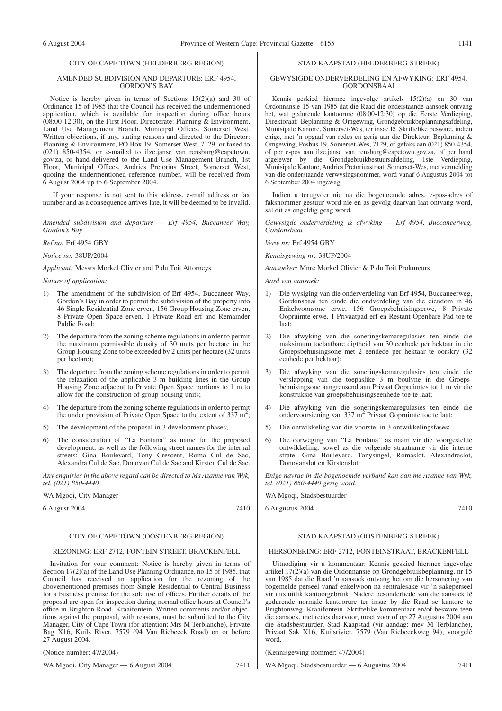#### CITY OF CAPE TOWN (HELDERBERG REGION)

#### AMENDED SUBDIVISION AND DEPARTURE: ERF 4954, GORDON'S BAY

Notice is hereby given in terms of Sections 15(2)(a) and 30 of Ordinance 15 of 1985 that the Council has received the undermentioned application, which is available for inspection during office hours  $(08:00-12:30)$ , on the First Floor, Directorate: Planning & Environment, Land Use Management Branch, Municipal Offices, Somerset West. Written objections, if any, stating reasons and directed to the Director: Planning & Environment, PO Box 19, Somerset West, 7129, or faxed to (021) 850-4354, or e-mailed to ilze.janse\_van\_rensburg@capetown. gov.za, or hand-delivered to the Land Use Management Branch, 1st Floor, Municipal Offices, Andries Pretorius Street, Somerset West, quoting the undermentioned reference number, will be received from 6 August 2004 up to 6 September 2004.

If your response is not sent to this address, e-mail address or fax number and as a consequence arrives late, it will be deemed to be invalid.

*Amended subdivision and departure — Erf 4954, Buccaneer Way, Gordon's Bay*

*Ref no:* Erf 4954 GBY

*Notice no:* 38UP/2004

*Applicant:* Messrs Morkel Olivier and P du Toit Attorneys

*Nature of application:*

- 1) The amendment of the subdivision of Erf 4954, Buccaneer Way, Gordon's Bay in order to permit the subdivision of the property into 46 Single Residential Zone erven, 156 Group Housing Zone erven, 8 Private Open Space erven, 1 Private Road erf and Remainder Public Road;
- 2) The departure from the zoning scheme regulations in order to permit the maximum permissible density of 30 units per hectare in the Group Housing Zone to be exceeded by 2 units per hectare (32 units per hectare);
- 3) The departure from the zoning scheme regulations in order to permit the relaxation of the applicable 3 m building lines in the Group Housing Zone adjacent to Private Open Space portions to 1 m to allow for the construction of group housing units;
- 4) The departure from the zoning scheme regulations in order to permit the under provision of Private Open Space to the extent of  $337 \text{ m}^2$ ;
- 5) The development of the proposal in 3 development phases;
- 6) The consideration of ''La Fontana'' as name for the proposed development, as well as the following street names for the internal streets: Gina Boulevard, Tony Crescent, Roma Cul de Sac, Alexandra Cul de Sac, Donovan Cul de Sac and Kirsten Cul de Sac.

*Any enquiries in the above regard can be directed to Ms Azanne van Wyk, tel. (021) 850-4440.*

WA Mgoqi, City Manager

6 August 2004 7410

# CITY OF CAPE TOWN (OOSTENBERG REGION)

# REZONING: ERF 2712, FONTEIN STREET, BRACKENFELL

Invitation for your comment: Notice is hereby given in terms of Section 17(2)(a) of the Land Use Planning Ordinance, no 15 of 1985, that Council has received an application for the rezoning of the abovementioned premises from Single Residential to Central Business for a business premise for the sole use of offices. Further details of the proposal are open for inspection during normal office hours at Council's office in Brighton Road, Kraaifontein. Written comments and/or objections against the proposal, with reasons, must be submitted to the City Manager, City of Cape Town (for attention: Mrs M Terblanche), Private Bag X16, Kuils River, 7579 (94 Van Riebeeck Road) on or before 27 August 2004.

(Notice number: 47/2004)

WA Mgoqi, City Manager — 6 August 2004 7411

#### STAD KAAPSTAD (HELDERBERG-STREEK)

#### GEWYSIGDE ONDERVERDELING EN AFWYKING: ERF 4954, GORDONSBAAI

Kennis geskied hiermee ingevolge artikels 15(2)(a) en 30 van Ordonnansie 15 van 1985 dat die Raad die onderstaande aansoek ontvang het, wat gedurende kantoorure (08:00-12:30) op die Eerste Verdieping, Direktoraat: Beplanning & Omgewing, Grondgebruikbeplanningsafdeling, Munisipale Kantore, Somerset-Wes, ter insae lê. Skriftelike besware, indien enige, met 'n opgaaf van redes en gerig aan die Direkteur: Beplanning & Omgewing, Posbus 19, Somerset-Wes, 7129, of gefaks aan (021) 850-4354, of per e-pos aan ilze.janse\_van\_rensburg@capetown.gov.za, of per hand afgelewer by die Grondgebruikbestuursafdeling, 1ste Verdieping, Munisipale Kantore, Andries Pretoriusstraat, Somerset-Wes, met vermelding van die onderstaande verwysingsnommer, word vanaf 6 Augustus 2004 tot 6 September 2004 ingewag.

Indien u terugvoer nie na die bogenoemde adres, e-pos-adres of faksnommer gestuur word nie en as gevolg daarvan laat ontvang word, sal dit as ongeldig geag word.

*Gewysigde onderverdeling & afwyking — Erf 4954, Buccaneerweg, Gordonsbaai*

*Verw nr:* Erf 4954 GBY

*Kennisgewing nr:* 38UP/2004

*Aansoeker:* Mnre Morkel Olivier & P du Toit Prokureurs

*Aard van aansoek:*

- 1) Die wysiging van die onderverdeling van Erf 4954, Buccaneerweg, Gordonsbaai ten einde die ondverdeling van die eiendom in 46 Enkelwoonsone erwe, 156 Groepsbehuisingserwe, 8 Private Oopruimte erwe, 1 Privaatpad erf en Restant Openbare Pad toe te laat;
- 2) Die afwyking van die soneringskemaregulasies ten einde die maksimum toelaatbare digtheid van 30 eenhede per hektaar in die Groepsbehuisingsone met 2 eendede per hektaar te oorskry (32 eenhede per hektaar);
- 3) Die afwyking van die soneringskemaregulasies ten einde die verslapping van die toepaslike 3 m boulyne in die Groepsbehuisingsone aangrensend aan Privaat Oopruimtes tot 1 m vir die konstruksie van groepsbehuisingseenhede toe te laat;
- 4) Die afwyking van die soneringskemaregulasies ten einde die ondervoorsiening van 337 m2 Privaat Oopruimte toe te laat;
- 5) Die ontwikkeling van die voorstel in 3 ontwikkelingsfases;
- 6) Die oorweging van ''La Fontana'' as naam vir die voorgestelde ontwikkeling, sowel as die volgende straatname vir die interne strate: Gina Boulevard, Tonysingel, Romaslot, Alexandraslot, Donovanslot en Kirstenslot.

*Enige navrae in die bogenoemde verband kan aan me Azanne van Wyk, tel. (021) 850-4440 gerig word.*

WA Mgoqi, Stadsbestuurder

6 Augustus 2004 7410

#### STAD KAAPSTAD (OOSTENBERG-STREEK)

# HERSONERING: ERF 2712, FONTEINSTRAAT, BRACKENFELL

Uitnodiging vir u kommentaar: Kennis geskied hiermee ingevolge artikel  $17(2)(a)$  van die Ordonnansie op Grondgebruikbeplanning, nr  $15$ van 1985 dat die Raad 'n aansoek ontvang het om die hersonering van bogemelde perseel vanaf enkelwoon na sentralesake vir 'n sakeperseel vir uitsluitlik kantoorgebruik. Nadere besonderhede van die aansoek lê gedurende normale kantoorure ter insae by die Raad se kantore te Brightonweg, Kraaifontein. Skriftelike kommentaar en/of besware teen die aansoek, met redes daarvoor, moet voor of op 27 Augustus 2004 aan die Stadsbestuurder, Stad Kaapstad (vir aandag: mev M Terblanche), Privaat Sak X16, Kuilsrivier, 7579 (Van Riebeeckweg 94), voorgelê word.

(Kennisgewing nommer: 47/2004)

WA Mgoqi, Stadsbestuurder — 6 Augustus 2004 7411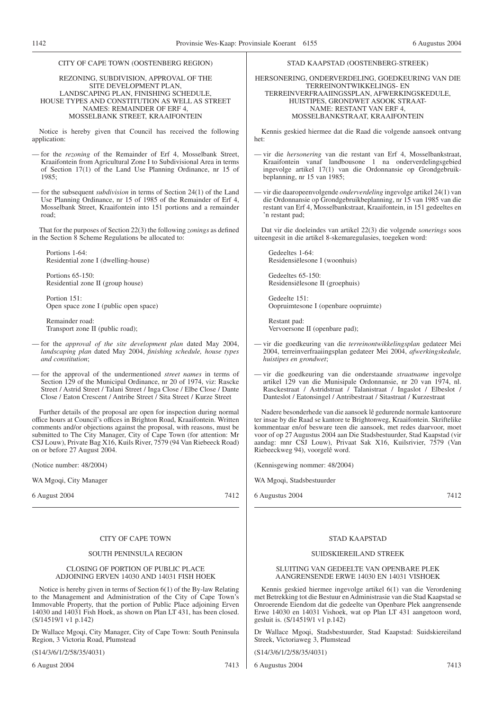# CITY OF CAPE TOWN (OOSTENBERG REGION) REZONING, SUBDIVISION, APPROVAL OF THE SITE DEVELOPMENT PLAN, LANDSCAPING PLAN, FINISHING SCHEDULE, HOUSE TYPES AND CONSTITUTION AS WELL AS STREET NAMES: REMAINDER OF ERF 4, MOSSELBANK STREET, KRAAIFONTEIN

Notice is hereby given that Council has received the following application:

— for the *rezoning* of the Remainder of Erf 4, Mosselbank Street, Kraaifontein from Agricultural Zone I to Subdivisional Area in terms of Section 17(1) of the Land Use Planning Ordinance, nr 15 of 1985;

— for the subsequent *subdivision* in terms of Section 24(1) of the Land Use Planning Ordinance, nr 15 of 1985 of the Remainder of Erf 4, Mosselbank Street, Kraaifontein into 151 portions and a remainder road;

That for the purposes of Section 22(3) the following *zonings* as defined in the Section 8 Scheme Regulations be allocated to:

Portions 1-64: Residential zone I (dwelling-house)

Portions 65-150: Residential zone II (group house)

Portion 151: Open space zone I (public open space)

Remainder road: Transport zone II (public road);

— for the *approval of the site development plan* dated May 2004, *landscaping plan* dated May 2004, *finishing schedule, house types and constitution*;

— for the approval of the undermentioned *street names* in terms of Section 129 of the Municipal Ordinance, nr 20 of 1974, viz: Rascke Street / Astrid Street / Talani Street / Inga Close / Elbe Close / Dante Close / Eaton Crescent / Antribe Street / Sita Street / Kurze Street

Further details of the proposal are open for inspection during normal office hours at Council's offices in Brighton Road, Kraaifontein. Written comments and/or objections against the proposal, with reasons, must be submitted to The City Manager, City of Cape Town (for attention: Mr CSJ Louw), Private Bag X16, Kuils River, 7579 (94 Van Riebeeck Road) on or before 27 August 2004.

(Notice number: 48/2004)

WA Mgoqi, City Manager

6 August 2004 7412

## CITY OF CAPE TOWN

## SOUTH PENINSULA REGION

#### CLOSING OF PORTION OF PUBLIC PLACE ADJOINING ERVEN 14030 AND 14031 FISH HOEK

Notice is hereby given in terms of Section 6(1) of the By-law Relating to the Management and Administration of the City of Cape Town's Immovable Property, that the portion of Public Place adjoining Erven 14030 and 14031 Fish Hoek, as shown on Plan LT 431, has been closed. (S/14519/1 v1 p.142)

Dr Wallace Mgoqi, City Manager, City of Cape Town: South Peninsula Region, 3 Victoria Road, Plumstead

(S14/3/6/1/2/58/35/4031)

6 August 2004 7413

# STAD KAAPSTAD (OOSTENBERG-STREEK)

HERSONERING, ONDERVERDELING, GOEDKEURING VAN DIE TERREINONTWIKKELINGS- EN TERREINVERFRAAIINGSSPLAN, AFWERKINGSKEDULE, HUISTIPES, GRONDWET ASOOK STRAAT-NAME: RESTANT VAN ERF 4, MOSSELBANKSTRAAT, KRAAIFONTEIN

Kennis geskied hiermee dat die Raad die volgende aansoek ontvang het:

- vir die *hersonering* van die restant van Erf 4, Mosselbankstraat, Kraaifontein vanaf landbousone 1 na onderverdelingsgebied ingevolge artikel 17(1) van die Ordonnansie op Grondgebruikbeplanning, nr 15 van 1985;
- vir die daaropeenvolgende *onderverdeling* ingevolge artikel 24(1) van die Ordonnansie op Grondgebruikbeplanning, nr 15 van 1985 van die restant van Erf 4, Mosselbankstraat, Kraaifontein, in 151 gedeeltes en 'n restant pad;

Dat vir die doeleindes van artikel 22(3) die volgende *sonerings* soos uiteengesit in die artikel 8-skemaregulasies, toegeken word:

Gedeeltes 1-64: Residensiëlesone I (woonhuis)

Gedeeltes 65-150: Residensiëlesone II (groephuis)

Gedeelte 151: Oopruimtesone I (openbare oopruimte)

Restant pad: Vervoersone II (openbare pad);

- vir die goedkeuring van die *terreinontwikkelingsplan* gedateer Mei 2004, terreinverfraaiingsplan gedateer Mei 2004, *afwerkingskedule, huistipes en grondwet*;
- vir die goedkeuring van die onderstaande *straatname* ingevolge artikel 129 van die Munisipale Ordonnansie, nr 20 van 1974, nl. Rasckestraat / Astridstraat / Talanistraat / Ingaslot / Elbeslot / Danteslot / Eatonsingel / Antribestraat / Sitastraat / Kurzestraat

Nadere besonderhede van die aansoek lê gedurende normale kantoorure ter insae by die Raad se kantore te Brightonweg, Kraaifontein. Skriftelike kommentaar en/of besware teen die aansoek, met redes daarvoor, moet voor of op 27 Augustus 2004 aan Die Stadsbestuurder, Stad Kaapstad (vir aandag: mnr CSJ Louw), Privaat Sak X16, Kuilsrivier, 7579 (Van Riebeeckweg 94), voorgelê word.

(Kennisgewing nommer: 48/2004)

WA Mgoqi, Stadsbestuurder

6 Augustus 2004 7412

# STAD KAAPSTAD

## SUIDSKIEREILAND STREEK

SLUITING VAN GEDEELTE VAN OPENBARE PLEK AANGRENSENDE ERWE 14030 EN 14031 VISHOEK

Kennis geskied hiermee ingevolge artikel 6(1) van die Verordening met Betrekking tot die Bestuur en Administrasie van die Stad Kaapstad se Onroerende Eiendom dat die gedeelte van Openbare Plek aangrensende Erwe 14030 en 14031 Vishoek, wat op Plan LT 431 aangetoon word, gesluit is. (S/14519/1 v1 p.142)

Dr Wallace Mgoqi, Stadsbestuurder, Stad Kaapstad: Suidskiereiland Streek, Victoriaweg 3, Plumstead

(S14/3/6/1/2/58/35/4031)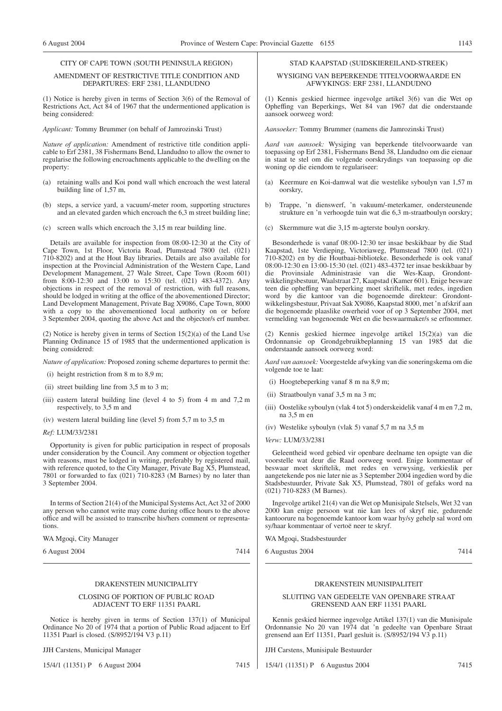#### CITY OF CAPE TOWN (SOUTH PENINSULA REGION)

#### AMENDMENT OF RESTRICTIVE TITLE CONDITION AND DEPARTURES: ERF 2381, LLANDUDNO

(1) Notice is hereby given in terms of Section 3(6) of the Removal of Restrictions Act, Act 84 of 1967 that the undermentioned application is being considered:

*Applicant:* Tommy Brummer (on behalf of Jamrozinski Trust)

*Nature of application:* Amendment of restrictive title condition applicable to Erf 2381, 38 Fishermans Bend, Llandudno to allow the owner to regularise the following encroachments applicable to the dwelling on the property:

- (a) retaining walls and Koi pond wall which encroach the west lateral building line of 1,57 m,
- (b) steps, a service yard, a vacuum/-meter room, supporting structures and an elevated garden which encroach the 6,3 m street building line;
- (c) screen walls which encroach the 3,15 m rear building line.

Details are available for inspection from 08:00-12:30 at the City of Cape Town, 1st Floor, Victoria Road, Plumstead 7800 (tel. (021) 710-8202) and at the Hout Bay libraries. Details are also available for inspection at the Provincial Administration of the Western Cape, Land Development Management, 27 Wale Street, Cape Town (Room 601) from 8:00-12:30 and 13:00 to 15:30 (tel. (021) 483-4372). Any objections in respect of the removal of restriction, with full reasons, should be lodged in writing at the office of the abovementioned Director; Land Development Management, Private Bag X9086, Cape Town, 8000 with a copy to the abovementioned local authority on or before 3 September 2004, quoting the above Act and the objector/s erf number.

(2) Notice is hereby given in terms of Section 15(2)(a) of the Land Use Planning Ordinance 15 of 1985 that the undermentioned application is being considered:

*Nature of application:* Proposed zoning scheme departures to permit the:

- (i) height restriction from 8 m to 8,9 m;
- (ii) street building line from 3,5 m to 3 m;
- (iii) eastern lateral building line (level 4 to 5) from 4 m and 7,2 m respectively, to 3,5 m and
- (iv) western lateral building line (level 5) from 5,7 m to 3,5 m
- *Ref:* LUM/33/2381

Opportunity is given for public participation in respect of proposals under consideration by the Council. Any comment or objection together with reasons, must be lodged in writing, preferably by registered mail, with reference quoted, to the City Manager, Private Bag X5, Plumstead, 7801 or forwarded to fax (021) 710-8283 (M Barnes) by no later than 3 September 2004.

In terms of Section 21(4) of the Municipal Systems Act, Act 32 of 2000 any person who cannot write may come during office hours to the above office and will be assisted to transcribe his/hers comment or representations.

WA Mgoqi, City Manager

6 August 2004 7414

#### DRAKENSTEIN MUNICIPALITY

#### CLOSING OF PORTION OF PUBLIC ROAD ADJACENT TO ERF 11351 PAARL

Notice is hereby given in terms of Section 137(1) of Municipal Ordinance No 20 of 1974 that a portion of Public Road adjacent to Erf 11351 Paarl is closed. (S/8952/194 V3 p.11)

JJH Carstens, Municipal Manager

15/4/1 (11351) P 6 August 2004 7415

#### STAD KAAPSTAD (SUIDSKIEREILAND-STREEK)

#### WYSIGING VAN BEPERKENDE TITELVOORWAARDE EN AFWYKINGS: ERF 2381, LLANDUDNO

(1) Kennis geskied hiermee ingevolge artikel 3(6) van die Wet op Opheffing van Beperkings, Wet 84 van 1967 dat die onderstaande aansoek oorweeg word:

*Aansoeker:* Tommy Brummer (namens die Jamrozinski Trust)

*Aard van aansoek:* Wysiging van beperkende titelvoorwaarde van toepassing op Erf 2381, Fishermans Bend 38, Llandudno om die eienaar in staat te stel om die volgende oorskrydings van toepassing op die woning op die eiendom te regulariseer:

- (a) Keermure en Koi-damwal wat die westelike syboulyn van 1,57 m oorskry,
- b) Trappe, 'n dienswerf, 'n vakuum/-meterkamer, ondersteunende strukture en 'n verhoogde tuin wat die 6,3 m-straatboulyn oorskry;
- (c) Skermmure wat die 3,15 m-agterste boulyn oorskry.

Besonderhede is vanaf 08:00-12:30 ter insae beskikbaar by die Stad Kaapstad, 1ste Verdieping, Victoriaweg, Plumstead 7800 (tel. (021) 710-8202) en by die Houtbaai-biblioteke. Besonderhede is ook vanaf 08:00-12:30 en 13:00-15:30 (tel. (021) 483-4372 ter insae beskikbaar by die Provinsiale Administrasie van die Wes-Kaap, Grondontwikkelingsbestuur, Waalstraat 27, Kaapstad (Kamer 601). Enige besware teen die opheffing van beperking moet skriftelik, met redes, ingedien word by die kantoor van die bogenoemde direkteur: Grondontwikkelingsbestuur, Privaat Sak X9086, Kaapstad 8000, met 'n afskrif aan die bogenoemde plaaslike owerheid voor of op 3 September 2004, met vermelding van bogenoemde Wet en die beswaarmaker/s se erfnommer.

(2) Kennis geskied hiermee ingevolge artikel 15(2)(a) van die Ordonnansie op Grondgebruikbeplanning 15 van 1985 dat die onderstaande aansoek oorweeg word:

*Aard van aansoek:* Voorgestelde afwyking van die soneringskema om die volgende toe te laat:

- (i) Hoogtebeperking vanaf 8 m na 8,9 m;
- (ii) Straatboulyn vanaf 3,5 m na 3 m;
- (iii) Oostelike syboulyn (vlak 4 tot 5) onderskeidelik vanaf 4 m en 7,2 m, na 3,5 m en
- (iv) Westelike syboulyn (vlak 5) vanaf 5,7 m na 3,5 m

#### *Verw:* LUM/33/2381

Geleentheid word gebied vir openbare deelname ten opsigte van die voorstelle wat deur die Raad oorweeg word. Enige kommentaar of beswaar moet skriftelik, met redes en verwysing, verkieslik per aangetekende pos nie later nie as 3 September 2004 ingedien word by die Stadsbestuurder, Private Sak X5, Plumstead, 7801 of gefaks word na (021) 710-8283 (M Barnes).

Ingevolge artikel 21(4) van die Wet op Munisipale Stelsels, Wet 32 van 2000 kan enige persoon wat nie kan lees of skryf nie, gedurende kantoorure na bogenoemde kantoor kom waar hy/sy gehelp sal word om sy/haar kommentaar of vertoë neer te skryf.

WA Mgoqi, Stadsbestuurder

6 Augustus 2004 7414

#### DRAKENSTEIN MUNISIPALITEIT

#### SLUITING VAN GEDEELTE VAN OPENBARE STRAAT GRENSEND AAN ERF 11351 PAARL

Kennis geskied hiermee ingevolge Artikel 137(1) van die Munisipale Ordonnansie No 20 van 1974 dat 'n gedeelte van Openbare Straat grensend aan Erf 11351, Paarl gesluit is. (S/8952/194 V3 p.11)

JJH Carstens, Munisipale Bestuurder

15/4/1 (11351) P 6 Augustus 2004 7415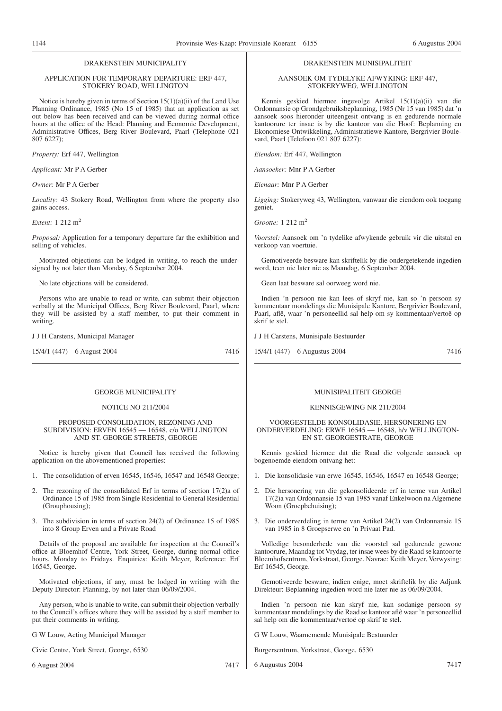# DRAKENSTEIN MUNICIPALITY

#### APPLICATION FOR TEMPORARY DEPARTURE: ERF 447, STOKERY ROAD, WELLINGTON

Notice is hereby given in terms of Section 15(1)(a)(ii) of the Land Use Planning Ordinance, 1985 (No 15 of 1985) that an application as set out below has been received and can be viewed during normal office hours at the office of the Head: Planning and Economic Development, Administrative Offices, Berg River Boulevard, Paarl (Telephone 021 807 6227);

*Property:* Erf 447, Wellington

*Applicant:* Mr P A Gerber

*Owner:* Mr P A Gerber

*Locality:* 43 Stokery Road, Wellington from where the property also gains access.

*Extent:* 1 212 m2

*Proposal:* Application for a temporary departure far the exhibition and selling of vehicles.

Motivated objections can be lodged in writing, to reach the undersigned by not later than Monday, 6 September 2004.

No late objections will be considered.

Persons who are unable to read or write, can submit their objection verbally at the Municipal Offices, Berg River Boulevard, Paarl, where they will be assisted by a staff member, to put their comment in writing.

J J H Carstens, Municipal Manager

15/4/1 (447) 6 August 2004 7416

## GEORGE MUNICIPALITY

#### NOTICE NO 211/2004

#### PROPOSED CONSOLIDATION, REZONING AND SUBDIVISION: ERVEN 16545 — 16548, c/o WELLINGTON AND ST. GEORGE STREETS, GEORGE

Notice is hereby given that Council has received the following application on the abovementioned properties:

- 1. The consolidation of erven 16545, 16546, 16547 and 16548 George;
- 2. The rezoning of the consolidated Erf in terms of section 17(2)a of Ordinance 15 of 1985 from Single Residential to General Residential (Grouphousing);
- 3. The subdivision in terms of section 24(2) of Ordinance 15 of 1985 into 8 Group Erven and a Private Road

Details of the proposal are available for inspection at the Council's office at Bloemhof Centre, York Street, George, during normal office hours, Monday to Fridays. Enquiries: Keith Meyer, Reference: Erf 16545, George.

Motivated objections, if any, must be lodged in writing with the Deputy Director: Planning, by not later than 06/09/2004.

Any person, who is unable to write, can submit their objection verbally to the Council's offices where they will be assisted by a staff member to put their comments in writing.

G W Louw, Acting Municipal Manager

Civic Centre, York Street, George, 6530

6 August 2004 7417

#### DRAKENSTEIN MUNISIPALITEIT

AANSOEK OM TYDELYKE AFWYKING: ERF 447, STOKERYWEG, WELLINGTON

Kennis geskied hiermee ingevolge Artikel 15(1)(a)(ii) van die Ordonnansie op Grondgebruiksbeplanning, 1985 (Nr 15 van 1985) dat 'n aansoek soos hieronder uiteengesit ontvang is en gedurende normale kantoorure ter insae is by die kantoor van die Hoof: Beplanning en Ekonomiese Ontwikkeling, Administratiewe Kantore, Bergrivier Boulevard, Paarl (Telefoon 021 807 6227):

*Eiendom:* Erf 447, Wellington

*Aansoeker:* Mnr P A Gerber

*Eienaar:* Mnr P A Gerber

*Ligging:* Stokeryweg 43, Wellington, vanwaar die eiendom ook toegang geniet.

*Grootte:* 1 212 m2

*Voorstel:* Aansoek om 'n tydelike afwykende gebruik vir die uitstal en verkoop van voertuie.

Gemotiveerde besware kan skriftelik by die ondergetekende ingedien word, teen nie later nie as Maandag, 6 September 2004.

Geen laat besware sal oorweeg word nie.

Indien 'n persoon nie kan lees of skryf nie, kan so 'n persoon sy kommentaar mondelings die Munisipale Kantore, Bergrivier Boulevard, Paarl, aflê, waar 'n personeellid sal help om sy kommentaar/vertoë op skrif te stel.

J J H Carstens, Munisipale Bestuurder

15/4/1 (447) 6 Augustus 2004 7416

#### MUNISIPALITEIT GEORGE

#### KENNISGEWING NR 211/2004

VOORGESTELDE KONSOLIDASIE, HERSONERING EN ONDERVERDELING: ERWE 16545 — 16548, h/v WELLINGTON-EN ST. GEORGESTRATE, GEORGE

Kennis geskied hiermee dat die Raad die volgende aansoek op bogenoemde eiendom ontvang het:

- 1. Die konsolidasie van erwe 16545, 16546, 16547 en 16548 George;
- 2. Die hersonering van die gekonsolideerde erf in terme van Artikel 17(2)a van Ordonnansie 15 van 1985 vanaf Enkelwoon na Algemene Woon (Groepbehuising);
- 3. Die onderverdeling in terme van Artikel 24(2) van Ordonnansie 15 van 1985 in 8 Groepserwe en 'n Privaat Pad.

Volledige besonderhede van die voorstel sal gedurende gewone kantoorure, Maandag tot Vrydag, ter insae wees by die Raad se kantoor te Bloemhofsentrum, Yorkstraat, George. Navrae: Keith Meyer, Verwysing: Erf 16545, George.

Gemotiveerde besware, indien enige, moet skriftelik by die Adjunk Direkteur: Beplanning ingedien word nie later nie as 06/09/2004.

Indien 'n persoon nie kan skryf nie, kan sodanige persoon sy kommentaar mondelings by die Raad se kantoor aflê waar 'n personeellid sal help om die kommentaar/vertoë op skrif te stel.

G W Louw, Waarnemende Munisipale Bestuurder

Burgersentrum, Yorkstraat, George, 6530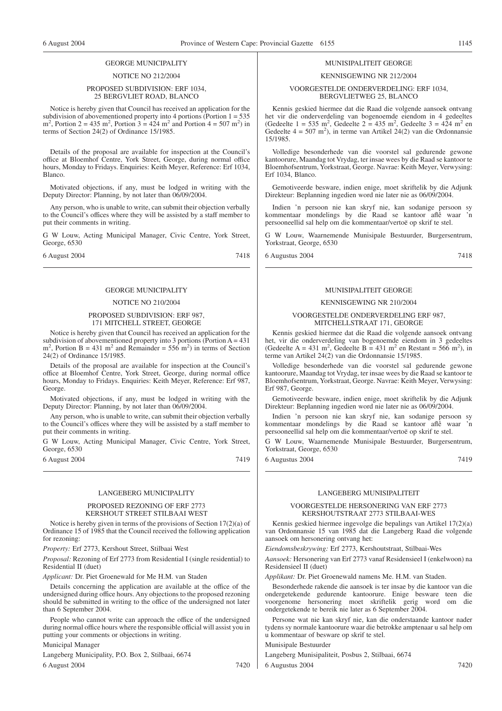#### GEORGE MUNICIPALITY

#### NOTICE NO 212/2004

#### PROPOSED SUBDIVISION: ERF 1034, 25 BERGVLIET ROAD, BLANCO

Notice is hereby given that Council has received an application for the subdivision of abovementioned property into 4 portions (Portion  $1 = 535$ )  $m^2$ , Portion 2 = 435 m<sup>2</sup>, Portion 3 = 424 m<sup>2</sup> and Portion 4 = 507 m<sup>2</sup>) in terms of Section 24(2) of Ordinance 15/1985.

Details of the proposal are available for inspection at the Council's office at Bloemhof Centre, York Street, George, during normal office hours, Monday to Fridays. Enquiries: Keith Meyer, Reference: Erf 1034, Blanco.

Motivated objections, if any, must be lodged in writing with the Deputy Director: Planning, by not later than 06/09/2004.

Any person, who is unable to write, can submit their objection verbally to the Council's offices where they will be assisted by a staff member to put their comments in writing.

G W Louw, Acting Municipal Manager, Civic Centre, York Street, George, 6530

6 August 2004 7418

# GEORGE MUNICIPALITY

#### NOTICE NO 210/2004

#### PROPOSED SUBDIVISION: ERF 987, 171 MITCHELL STREET, GEORGE

Notice is hereby given that Council has received an application for the subdivision of abovementioned property into 3 portions (Portion  $A = 431$ )  $m<sup>2</sup>$ , Portion B = 431 m<sup>2</sup> and Remainder = 556 m<sup>2</sup>) in terms of Section 24(2) of Ordinance 15/1985.

Details of the proposal are available for inspection at the Council's office at Bloemhof Centre, York Street, George, during normal office hours, Monday to Fridays. Enquiries: Keith Meyer, Reference: Erf 987, George.

Motivated objections, if any, must be lodged in writing with the Deputy Director: Planning, by not later than 06/09/2004.

Any person, who is unable to write, can submit their objection verbally to the Council's offices where they will be assisted by a staff member to put their comments in writing.

G W Louw, Acting Municipal Manager, Civic Centre, York Street, George, 6530

6 August 2004 7419

#### LANGEBERG MUNICIPALITY

#### PROPOSED REZONING OF ERF 2773 KERSHOUT STREET STILBAAI WEST

Notice is hereby given in terms of the provisions of Section 17(2)(a) of Ordinance 15 of 1985 that the Council received the following application for rezoning:

*Property:* Erf 2773, Kershout Street, Stilbaai West

*Proposal:* Rezoning of Erf 2773 from Residential I (single residential) to Residential II (duet)

*Applicant:* Dr. Piet Groenewald for Me H.M. van Staden

Details concerning the application are available at the office of the undersigned during office hours. Any objections to the proposed rezoning should be submitted in writing to the office of the undersigned not later than 6 September 2004.

People who cannot write can approach the office of the undersigned during normal office hours where the responsible official will assist you in putting your comments or objections in writing.

Municipal Manager

Langeberg Municipality, P.O. Box 2, Stilbaai, 6674

6 August 2004 7420

#### MUNISIPALITEIT GEORGE

#### KENNISGEWING NR 212/2004

#### VOORGESTELDE ONDERVERDELING: ERF 1034, BERGVLIETWEG 25, BLANCO

Kennis geskied hiermee dat die Raad die volgende aansoek ontvang het vir die onderverdeling van bogenoemde eiendom in 4 gedeeltes (Gedeelte  $1 = 535 \text{ m}^2$ , Gedeelte  $2 = 435 \text{ m}^2$ , Gedeelte  $3 = 424 \text{ m}^2$  en Gedeelte  $4 = 507$  m<sup>2</sup>), in terme van Artikel 24(2) van die Ordonnansie 15/1985.

Volledige besonderhede van die voorstel sal gedurende gewone kantoorure, Maandag tot Vrydag, ter insae wees by die Raad se kantoor te Bloemhofsentrum, Yorkstraat, George. Navrae: Keith Meyer, Verwysing: Erf 1034, Blanco.

Gemotiveerde besware, indien enige, moet skriftelik by die Adjunk Direkteur: Beplanning ingedien word nie later nie as 06/09/2004.

Indien 'n persoon nie kan skryf nie, kan sodanige persoon sy kommentaar mondelings by die Raad se kantoor aflê waar 'n persooneellid sal help om die kommentaar/vertoë op skrif te stel.

G W Louw, Waarnemende Munisipale Bestuurder, Burgersentrum, Yorkstraat, George, 6530

6 Augustus 2004 7418

#### MUNISIPALITEIT GEORGE

#### KENNISGEWING NR 210/2004

#### VOORGESTELDE ONDERVERDELING ERF 987, MITCHELLSTRAAT 171, GEORGE

Kennis geskied hiermee dat die Raad die volgende aansoek ontvang het, vir die onderverdeling van bogenoemde eiendom in 3 gedeeltes (Gedeelte A = 431 m<sup>2</sup>, Gedeelte B = 431 m<sup>2</sup> en Restant = 566 m<sup>2</sup>), in terme van Artikel 24(2) van die Ordonnansie 15/1985.

Volledige besonderhede van die voorstel sal gedurende gewone kantoorure, Maandag tot Vrydag, ter insae wees by die Raad se kantoor te Bloemhofsentrum, Yorkstraat, George. Navrae: Keith Meyer, Verwysing: Erf 987, George.

Gemotiveerde besware, indien enige, moet skriftelik by die Adjunk Direkteur: Beplanning ingedien word nie later nie as 06/09/2004.

Indien 'n persoon nie kan skryf nie, kan sodanige persoon sy kommentaar mondelings by die Raad se kantoor aflê waar 'n persooneellid sal help om die kommentaar/vertoë op skrif te stel.

G W Louw, Waarnemende Munisipale Bestuurder, Burgersentrum, Yorkstraat, George, 6530

6 Augustus 2004 7419

#### LANGEBERG MUNISIPALITEIT

## VOORGESTELDE HERSONERING VAN ERF 2773 KERSHOUTSTRAAT 2773 STILBAAI-WES

Kennis geskied hiermee ingevolge die bepalings van Artikel 17(2)(a) van Ordonnansie 15 van 1985 dat die Langeberg Raad die volgende aansoek om hersonering ontvang het:

*Eiendomsbeskrywing:* Erf 2773, Kershoutstraat, Stilbaai-Wes

*Aansoek:* Hersonering van Erf 2773 vanaf Residensieel I (enkelwoon) na Residensieel II (duet)

*Applikant:* Dr. Piet Groenewald namens Me. H.M. van Staden.

Besonderhede rakende die aansoek is ter insae by die kantoor van die ondergetekende gedurende kantoorure. Enige besware teen die voorgenome hersonering moet skriftelik gerig word om die ondergetekende te bereik nie later as 6 September 2004.

Persone wat nie kan skryf nie, kan die onderstaande kantoor nader tydens sy normale kantoorure waar die betrokke amptenaar u sal help om u kommentaar of besware op skrif te stel.

#### Munisipale Bestuurder

Langeberg Munisipaliteit, Posbus 2, Stilbaai, 6674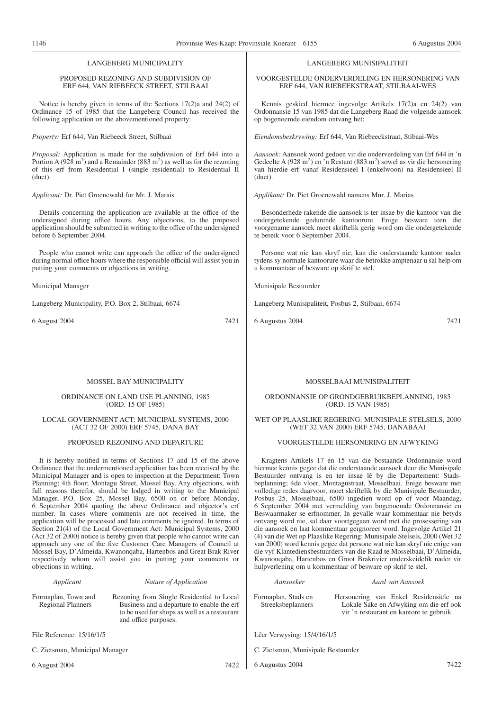# LANGEBERG MUNICIPALITY

#### PROPOSED REZONING AND SUBDIVISION OF ERF 644, VAN RIEBEECK STREET, STILBAAI

Notice is hereby given in terms of the Sections 17(2)a and 24(2) of Ordinance 15 of 1985 that the Langeberg Council has received the following application on the abovementioned property:

*Property:* Erf 644, Van Riebeeck Street, Stilbaai

*Proposal:* Application is made for the subdivision of Erf 644 into a Portion A ( $928 \text{ m}^2$ ) and a Remainder (883 m<sup>2</sup>) as well as for the rezoning of this erf from Residential I (single residential) to Residential II (duet).

*Applicant:* Dr. Piet Groenewald for Mr. J. Marais

Details concerning the application are available at the office of the undersigned during office hours. Any objections, to the proposed application should be submitted in writing to the office of the undersigned before 6 September 2004.

People who cannot write can approach the office of the undersigned during normal office hours where the responsible official will assist you in putting your comments or objections in writing.

Municipal Manager

Langeberg Municipality, P.O. Box 2, Stilbaai, 6674

6 August 2004 7421

#### MOSSEL BAY MUNICIPALITY

ORDINANCE ON LAND USE PLANNING, 1985 (ORD. 15 OF 1985)

#### LOCAL GOVERNMENT ACT: MUNICIPAL SYSTEMS, 2000 (ACT 32 OF 2000) ERF 5745, DANA BAY

#### PROPOSED REZONING AND DEPARTURE

It is hereby notified in terms of Sections 17 and 15 of the above Ordinance that the undermentioned application has been received by the Municipal Manager and is open to inspection at the Department: Town Planning; 4th floor; Montagu Street, Mossel Bay. Any objections, with full reasons therefor, should be lodged in writing to the Municipal Manager, P.O. Box 25, Mossel Bay, 6500 on or before Monday, 6 September 2004 quoting the above Ordinance and objector's erf number. In cases where comments are not received in time, the application will be processed and late comments be ignored. In terms of Section 21(4) of the Local Government Act: Municipal Systems, 2000 (Act 32 of 2000) notice is hereby given that people who cannot write can approach any one of the five Customer Care Managers of Council at Mossel Bay, D'Almeida, Kwanonqaba, Hartenbos and Great Brak River respectively whom will assist you in putting your comments or objections in writing.

| Applicant |
|-----------|
|           |

#### *Applicant Nature of Application*

Formaplan, Town and Regional Planners Rezoning from Single Residential to Local Business and a departure to enable the erf to be used for shops as well as a restaurant and office purposes.

File Reference: 15/16/1/5

C. Zietsman, Municipal Manager

6 August 2004 7422

#### LANGEBERG MUNISIPALITEIT

VOORGESTELDE ONDERVERDELING EN HERSONERING VAN ERF 644, VAN RIEBEEKSTRAAT, STILBAAI-WES

Kennis geskied hiermee ingevolge Artikels 17(2)a en 24(2) van Ordonnansie 15 van 1985 dat die Langeberg Raad die volgende aansoek op bogenoemde eiendom ontvang het:

*Eiendomsbeskrywing:* Erf 644, Van Riebeeckstraat, Stibaai-Wes

*Aansoek:* Aansoek word gedoen vir die onderverdeling van Erf 644 in 'n Gedeelte A (928 m<sup>2</sup>) en 'n Restant (883 m<sup>2</sup>) sowel as vir die hersonering van hierdie erf vanaf Residensieel I (enkelwoon) na Residensieel II (duet).

*Applikant:* Dr. Piet Groenewald namens Mnr. J. Marias

Besonderhede rakende die aansoek is ter insae by die kantoor van die ondergetekende gedurende kantoorure. Enige besware teen die voorgename aansoek moet skriftelik gerig word om die ondergetekende te bereik voor 6 September 2004.

Persone wat nie kan skryf nie, kan die onderstaande kantoor nader tydens sy normale kantoorure waar die betrokke amptenaar u sal help om u kommantaar of besware op skrif te stel.

Munisipale Bestuurder

Langeberg Munisipaliteit, Posbus 2, Stilbaai, 6674

6 Augustus 2004 7421

#### MOSSELBAAI MUNISIPALITEIT

ORDONNANSIE OP GRONDGEBRUIKBEPLANNING, 1985 (ORD. 15 VAN 1985)

WET OP PLAASLIKE REGERING: MUNISIPALE STELSELS, 2000 (WET 32 VAN 2000) ERF 5745, DANABAAI

#### VOORGESTELDE HERSONERING EN AFWYKING

Kragtens Artikels 17 en 15 van die bostaande Ordonnansie word hiermee kennis gegee dat die onderstaande aansoek deur die Munisipale Bestuurder ontvang is en ter insae lê by die Departement: Stadsbeplanning; 4de vloer, Montagustraat, Mosselbaai. Enige besware met volledige redes daarvoor, moet skriftelik by die Munisipale Bestuurder, Posbus 25, Mosselbaai, 6500 ingedien word op of voor Maandag, 6 September 2004 met vermelding van bogenoemde Ordonnansie en Beswaarmaker se erfnommer. In gevalle waar kommentaar nie betyds ontvang word nie, sal daar voortgegaan word met die prosessering van die aansoek en laat kommentaar geïgnoreer word. Ingevolge Artikel 21 (4) van die Wet op Plaaslike Regering: Munisipale Stelsels, 2000 (Wet 32 van 2000) word kennis gegee dat persone wat nie kan skryf nie enige van die vyf Klantediensbestuurders van die Raad te Mosselbaai, D'Almeida, Kwanonqaba, Hartenbos en Groot Brakrivier onderskeidelik nader vir hulpverlening om u kommentaar of besware op skrif te stel.

*Aansoeker Aard van Aansoek*

Formaplan, Stads en Streeksbeplanners

Hersonering van Enkel Residensiële na Lokale Sake en Afwyking om die erf ook vir 'n restaurant en kantore te gebruik.

Lêer Verwysing: 15/4/16/1/5

C. Zietsman, Munisipale Bestuurder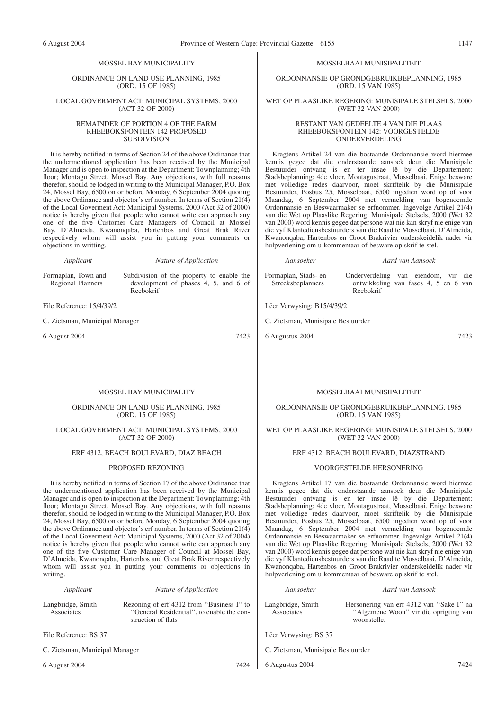#### MOSSEL BAY MUNICIPALITY

ORDINANCE ON LAND USE PLANNING, 1985 (ORD. 15 OF 1985)

#### LOCAL GOVERMENT ACT: MUNICIPAL SYSTEMS, 2000 (ACT 32 OF 2000)

#### REMAINDER OF PORTION 4 OF THE FARM RHEEBOKSFONTEIN 142 PROPOSED SUBDIVISION

It is hereby notified in terms of Section 24 of the above Ordinance that the undermentioned application has been received by the Municipal Manager and is open to inspection at the Department: Townplanning; 4th floor; Montagu Street, Mossel Bay. Any objections, with full reasons therefor, should be lodged in writing to the Municipal Manager, P.O. Box 24, Mossel Bay, 6500 on or before Monday, 6 September 2004 quoting the above Ordinance and objector's erf number. In terms of Section 21(4) of the Local Goverment Act: Municipal Systems, 2000 (Act 32 of 2000) notice is hereby given that people who cannot write can approach any one of the five Customer Care Managers of Council at Mossel Bay, D'Almeida, Kwanonqaba, Hartenbos and Great Brak River respectively whom will assist you in putting your comments or objections in writting.

Reebokrif

*Applicant Nature of Application* Subdivision of the property to enable the

development of phases 4, 5, and 6 of

Formaplan, Town and Regional Planners

File Reference: 15/4/39/2

C. Zietsman, Municipal Manager

6 August 2004 7423

#### MOSSELBAAI MUNISIPALITEIT

ORDONNANSIE OP GRONDGEBRUIKBEPLANNING, 1985 (ORD. 15 VAN 1985)

#### WET OP PLAASLIKE REGERING: MUNISIPALE STELSELS, 2000 (WET 32 VAN 2000)

#### RESTANT VAN GEDEELTE 4 VAN DIE PLAAS RHEEBOKSFONTEIN 142: VOORGESTELDE ONDERVERDELING

Kragtens Artikel 24 van die bostaande Ordonnansie word hiermee kennis gegee dat die onderstaande aansoek deur die Munisipale Bestuurder ontvang is en ter insae lê by die Departement: Stadsbeplanning; 4de vloer, Montagustraat, Mosselbaai. Enige besware met volledige redes daarvoor, moet skriftelik by die Munisipale Bestuurder, Posbus 25, Mosselbaai, 6500 ingedien word op of voor Maandag, 6 September 2004 met vermelding van bogenoemde Ordonnansie en Beswaarmaker se erfnommer. lngevolge Artikel 21(4) van die Wet op Plaaslike Regering: Munisipale Stelsels, 2000 (Wet 32 van 2000) word kennis gegee dat persone wat nie kan skryf nie enige van die vyf Klantediensbestuurders van die Raad te Mosselbaai, D'Almeida, Kwanonqaba, Hartenbos en Groot Brakrivier onderskeidelik nader vir hulpverlening om u kommentaar of besware op skrif te stel.

*Aansoeker Aard van Aansoek* Formaplan, Stads- en Streeksbeplanners Onderverdeling van eiendom, vir die ontwikkeling van fases 4, 5 en 6 van Reebokrif

Lêer Verwysing: B15/4/39/2

C. Zietsman, Munisipale Bestuurder

6 Augustus 2004 7423

## MOSSEL BAY MUNICIPALITY

#### ORDINANCE ON LAND USE PLANNING, 1985 (ORD. 15 OF 1985)

#### LOCAL GOVERMENT ACT: MUNICIPAL SYSTEMS, 2000 (ACT 32 OF 2000)

## ERF 4312, BEACH BOULEVARD, DIAZ BEACH

#### PROPOSED REZONING

It is hereby notified in terms of Section 17 of the above Ordinance that the undermentioned application has been received by the Municipal Manager and is open to inspection at the Department: Townplanning; 4th floor; Montagu Street, Mossel Bay. Any objections, with full reasons therefor, should be lodged in writing to the Municipal Manager, P.O. Box 24, Mossel Bay, 6500 on or before Monday, 6 September 2004 quoting the above Ordinance and objector's erf number. In terms of Section 21(4) of the Local Goverment Act: Municipal Systems, 2000 (Act 32 of 2004) notice is hereby given that people who cannot write can approach any one of the five Customer Care Manager of Council at Mossel Bay, D'Almeida, Kwanonqaba, Hartenbos and Great Brak River respectively whom will assist you in putting your comments or objections in writing.

|  | Applicant |  |
|--|-----------|--|
|  |           |  |

#### *Applicant Nature of Application*

Langbridge, Smith Associates

Rezoning of erf 4312 from ''Business I'' to ''General Residential'', to enable the construction of flats

File Reference: BS 37

C. Zietsman, Municipal Manager

6 August 2004 7424

# WET OP PLAASLIKE REGERING: MUNISIPALE STELSELS, 2000

# (WET 32 VAN 2000) ERF 4312, BEACH BOULEVARD, DIAZSTRAND

MOSSELBAAI MUNISIPALITEIT ORDONNANSIE OP GRONDGEBRUIKBEPLANNING, 1985 (ORD. 15 VAN 1985)

#### VOORGESTELDE HERSONERING

Kragtens Artikel 17 van die bostaande Ordonnansie word hiermee kennis gegee dat die onderstaande aansoek deur die Munisipale Bestuurder ontvang is en ter insae lê by die Departement: Stadsbeplanning; 4de vloer, Montagustraat, Mosselbaai. Enige besware met volledige redes daarvoor, moet skriftelik by die Munisipale Bestuurder, Posbus 25, Mosselbaai, 6500 ingedien word op of voor Maandag, 6 September 2004 met vermelding van bogenoemde Ordonnansie en Beswaarmaker se erfnommer. Ingevolge Artikel 21(4) van die Wet op Plaaslike Regering: Munisipale Stelsels, 2000 (Wet 32 van 2000) word kennis gegee dat persone wat nie kan skryf nie enige van die vyf Klantediensbestuurders van die Raad te Mosselbaai, D'Almeida, Kwanonqaba, Hartenbos en Groot Brakrivier onderskeidelik nader vir hulpverlening om u kommentaar of besware op skrif te stel.

#### *Aansoeker Aard van Aansoek*

Langbridge, Smith Associates

Hersonering van erf 4312 van ''Sake I'' na ''Algemene Woon'' vir die oprigting van woonstelle.

Lêer Verwysing: BS 37

- C. Zietsman, Munisipale Bestuurder
- 6 Augustus 2004 7424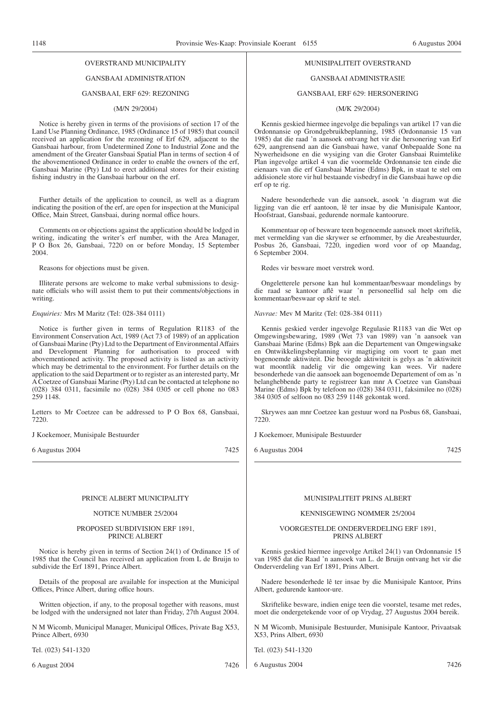# OVERSTRAND MUNICIPALITY

# GANSBAAI ADMINISTRATION

#### GANSBAAI, ERF 629: REZONING

#### (M/N 29/2004)

Notice is hereby given in terms of the provisions of section 17 of the Land Use Planning Ordinance, 1985 (Ordinance 15 of 1985) that council received an application for the rezoning of Erf 629, adjacent to the Gansbaai harbour, from Undetermined Zone to Industrial Zone and the amendment of the Greater Gansbaai Spatial Plan in terms of section 4 of the abovementioned Ordinance in order to enable the owners of the erf, Gansbaai Marine (Pty) Ltd to erect additional stores for their existing fishing industry in the Gansbaai harbour on the erf.

Further details of the application to council, as well as a diagram indicating the position of the erf, are open for inspection at the Municipal Office, Main Street, Gansbaai, during normal office hours.

Comments on or objections against the application should be lodged in writing, indicating the writer's erf number, with the Area Manager, P O Box 26, Gansbaai, 7220 on or before Monday, 15 September 2004.

Reasons for objections must be given.

Illiterate persons are welcome to make verbal submissions to designate officials who will assist them to put their comments/objections in writing.

#### *Enquiries:* Mrs M Maritz (Tel: 028-384 0111)

Notice is further given in terms of Regulation R1183 of the Environment Conservation Act, 1989 (Act 73 of 1989) of an application of Gansbaai Marine (Pty) Ltd to the Department of Environmental Affairs and Development Planning for authorisation to proceed with abovementioned activity. The proposed activity is listed as an activity which may be detrimental to the environment. For further details on the application to the said Department or to register as an interested party, Mr A Coetzee of Gansbaai Marine (Pty) Ltd can be contacted at telephone no (028) 384 0311, facsimile no (028) 384 0305 or cell phone no 083 259 1148.

Letters to Mr Coetzee can be addressed to P O Box 68, Gansbaai, 7220.

J Koekemoer, Munisipale Bestuurder

6 Augustus 2004 7425

#### PRINCE ALBERT MUNICIPALITY

#### NOTICE NUMBER 25/2004

#### PROPOSED SUBDIVISION ERF 1891, PRINCE ALBERT

Notice is hereby given in terms of Section 24(1) of Ordinance 15 of 1985 that the Council has received an application from L de Bruijn to subdivide the Erf 1891, Prince Albert.

Details of the proposal are available for inspection at the Municipal Offices, Prince Albert, during office hours.

Written objection, if any, to the proposal together with reasons, must be lodged with the undersigned not later than Friday, 27th August 2004.

N M Wicomb, Municipal Manager, Municipal Offices, Private Bag X53, Prince Albert, 6930

Tel. (023) 541-1320

6 August 2004 7426

# MUNISIPALITEIT OVERSTRAND

#### GANSBAAI ADMINISTRASIE

#### GANSBAAI, ERF 629: HERSONERING

### (M/K 29/2004)

Kennis geskied hiermee ingevolge die bepalings van artikel 17 van die Ordonnansie op Grondgebruikbeplanning, 1985 (Ordonnansie 15 van 1985) dat die raad 'n aansoek ontvang het vir die hersonering van Erf 629, aangrensend aan die Gansbaai hawe, vanaf Onbepaalde Sone na Nywerheidsone en die wysiging van die Groter Gansbaai Ruimtelike Plan ingevolge artikel 4 van die voormelde Ordonnansie ten einde die eienaars van die erf Gansbaai Marine (Edms) Bpk, in staat te stel om addisionele store vir hul bestaande visbedryf in die Gansbaai hawe op die erf op te rig.

Nadere besonderhede van die aansoek, asook 'n diagram wat die ligging van die erf aantoon, lê ter insae by die Munisipale Kantoor, Hoofstraat, Gansbaai, gedurende normale kantoorure.

Kommentaar op of besware teen bogenoemde aansoek moet skriftelik, met vermelding van die skrywer se erfnommer, by die Areabestuurder, Posbus 26, Gansbaai, 7220, ingedien word voor of op Maandag, 6 September 2004.

Redes vir besware moet verstrek word.

Ongeletterele persone kan hul kommentaar/beswaar mondelings by die raad se kantoor aflê waar 'n personeellid sal help om die kommentaar/beswaar op skrif te stel.

*Navrae:* Mev M Maritz (Tel: 028-384 0111)

Kennis geskied verder ingevolge Regulasie R1183 van die Wet op Omgewingsbewaring, 1989 (Wet 73 van 1989) van 'n aansoek van Gansbaai Marine (Edms) Bpk aan die Departement van Omgewingsake en Ontwikkelingsbeplanning vir magtiging om voort te gaan met bogenoemde aktiwiteit. Die beoogde aktiwiteit is gelys as 'n aktiwiteit wat moontlik nadelig vir die omgewing kan wees. Vir nadere besonderhede van die aansoek aan bogenoemde Departement of om as 'n belanghebbende party te registreer kan mnr A Coetzee van Gansbaai Marine (Edms) Bpk by telefoon no (028) 384 0311, faksimilee no (028) 384 0305 of selfoon no 083 259 1148 gekontak word.

Skrywes aan mnr Coetzee kan gestuur word na Posbus 68, Gansbaai, 7220.

J Koekemoer, Munisipale Bestuurder

6 Augustus 2004 7425

#### MUNISIPALITEIT PRINS ALBERT

#### KENNISGEWING NOMMER 25/2004

#### VOORGESTELDE ONDERVERDELING ERF 1891, PRINS ALBERT

Kennis geskied hiermee ingevolge Artikel 24(1) van Ordonnansie 15 van 1985 dat die Raad 'n aansoek van L. de Bruijn ontvang het vir die Onderverdeling van Erf 1891, Prins Albert.

Nadere besonderhede lê ter insae by die Munisipale Kantoor, Prins Albert, gedurende kantoor-ure.

Skriftelike besware, indien enige teen die voorstel, tesame met redes, moet die ondergetekende voor of op Vrydag, 27 Augustus 2004 bereik.

N M Wicomb, Munisipale Bestuurder, Munisipale Kantoor, Privaatsak X53, Prins Albert, 6930

Tel. (023) 541-1320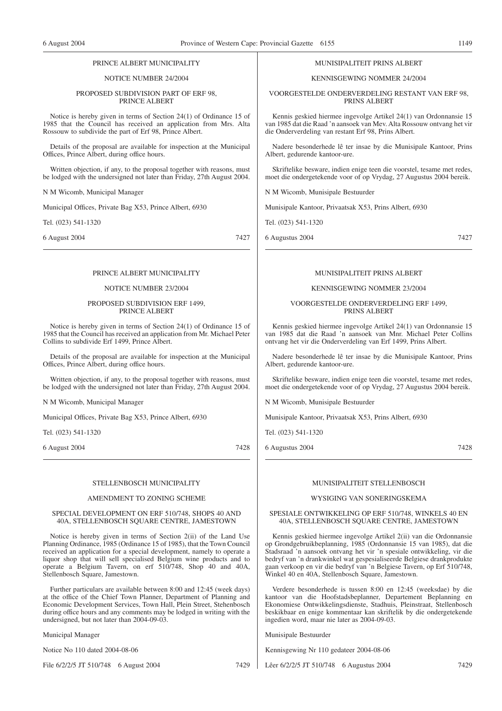#### PRINCE ALBERT MUNICIPALITY

#### NOTICE NUMBER 24/2004

#### PROPOSED SUBDIVISION PART OF ERF 98, PRINCE ALBERT

Notice is hereby given in terms of Section 24(1) of Ordinance 15 of 1985 that the Council has received an application from Mrs. Alta Rossouw to subdivide the part of Erf 98, Prince Albert.

Details of the proposal are available for inspection at the Municipal Offices, Prince Albert, during office hours.

Written objection, if any, to the proposal together with reasons, must be lodged with the undersigned not later than Friday, 27th August 2004.

N M Wicomb, Municipal Manager

Municipal Offices, Private Bag X53, Prince Albert, 6930

Tel. (023) 541-1320

6 August 2004 7427

# PRINCE ALBERT MUNICIPALITY

#### NOTICE NUMBER 23/2004

#### PROPOSED SUBDIVISION ERF 1499, PRINCE ALBERT

Notice is hereby given in terms of Section 24(1) of Ordinance 15 of 1985 that the Council has received an application from Mr. Michael Peter Collins to subdivide Erf 1499, Prince Albert.

Details of the proposal are available for inspection at the Municipal Offices, Prince Albert, during office hours.

Written objection, if any, to the proposal together with reasons, must be lodged with the undersigned not later than Friday, 27th August 2004.

N M Wicomb, Municipal Manager

Municipal Offices, Private Bag X53, Prince Albert, 6930

Tel. (023) 541-1320

6 August 2004 7428

#### STELLENBOSCH MUNICIPALITY

# AMENDMENT TO ZONING SCHEME

#### SPECIAL DEVELOPMENT ON ERF 510/748, SHOPS 40 AND 40A, STELLENBOSCH SQUARE CENTRE, JAMESTOWN

Notice is hereby given in terms of Section 2(ii) of the Land Use Planning Ordinance, 1985 (Ordinance 15 of 1985), that the Town Council received an application for a special development, namely to operate a liquor shop that will sell specialised Belgium wine products and to operate a Belgium Tavern, on erf 510/748, Shop 40 and 40A, Stellenbosch Square, Jamestown.

Further particulars are available between 8:00 and 12:45 (week days) at the office of the Chief Town Planner, Department of Planning and Economic Development Services, Town Hall, Plein Street, Stehenbosch during office hours and any comments may be lodged in writing with the undersigned, but not later than 2004-09-03.

Municipal Manager

Notice No 110 dated 2004-08-06

File 6/2/2/5 JT 510/748 6 August 2004 7429

#### MUNISIPALITEIT PRINS ALBERT

#### KENNISGEWING NOMMER 24/2004

VOORGESTELDE ONDERVERDELING RESTANT VAN ERF 98, PRINS ALBERT

Kennis geskied hiermee ingevolge Artikel 24(1) van Ordonnansie 15 van 1985 dat die Raad 'n aansoek van Mev. Alta Rossouw ontvang het vir die Onderverdeling van restant Erf 98, Prins Albert.

Nadere besonderhede lê ter insae by die Munisipale Kantoor, Prins Albert, gedurende kantoor-ure.

Skriftelike besware, indien enige teen die voorstel, tesame met redes, moet die ondergetekende voor of op Vrydag, 27 Augustus 2004 bereik.

N M Wicomb, Munisipale Bestuurder

Munisipale Kantoor, Privaatsak X53, Prins Albert, 6930

Tel. (023) 541-1320

6 Augustus 2004 7427

# MUNISIPALITEIT PRINS ALBERT

#### KENNISGEWING NOMMER 23/2004

#### VOORGESTELDE ONDERVERDELING ERF 1499, PRINS ALBERT

Kennis geskied hiermee ingevolge Artikel 24(1) van Ordonnansie 15 van 1985 dat die Raad 'n aansoek van Mnr. Michael Peter Collins ontvang het vir die Onderverdeling van Erf 1499, Prins Albert.

Nadere besonderhede lê ter insae by die Munisipale Kantoor, Prins Albert, gedurende kantoor-ure.

Skriftelike besware, indien enige teen die voorstel, tesame met redes, moet die ondergetekende voor of op Vrydag, 27 Augustus 2004 bereik.

N M Wicomb, Munisipale Bestuurder

Munisipale Kantoor, Privaatsak X53, Prins Albert, 6930

Tel. (023) 541-1320

6 Augustus 2004 7428

#### MUNISIPALITEIT STELLENBOSCH

#### WYSIGING VAN SONERINGSKEMA

#### SPESIALE ONTWIKKELING OP ERF 510/748, WINKELS 40 EN 40A, STELLENBOSCH SQUARE CENTRE, JAMESTOWN

Kennis geskied hiermee ingevolge Artikel 2(ii) van die Ordonnansie op Grondgebruikbeplanning, 1985 (Ordonnansie 15 van 1985), dat die Stadsraad 'n aansoek ontvang het vir 'n spesiale ontwikkeling, vir die bedryf van 'n drankwinkel wat gespesialiseerde Belgiese drankprodukte gaan verkoop en vir die bedryf van 'n Belgiese Tavern, op Erf 510/748, Winkel 40 en 40A, Stellenbosch Square, Jamestown.

Verdere besonderhede is tussen 8:00 en 12:45 (weeksdae) by die kantoor van die Hoofstadsbeplanner, Departement Beplanning en Ekonomiese Ontwikkelingsdienste, Stadhuis, Pleinstraat, Stellenbosch beskikbaar en enige kommentaar kan skriftelik by die ondergetekende ingedien word, maar nie later as 2004-09-03.

Munisipale Bestuurder

Kennisgewing Nr 110 gedateer 2004-08-06

Lêer 6/2/2/5 JT 510/748 6 Augustus 2004 7429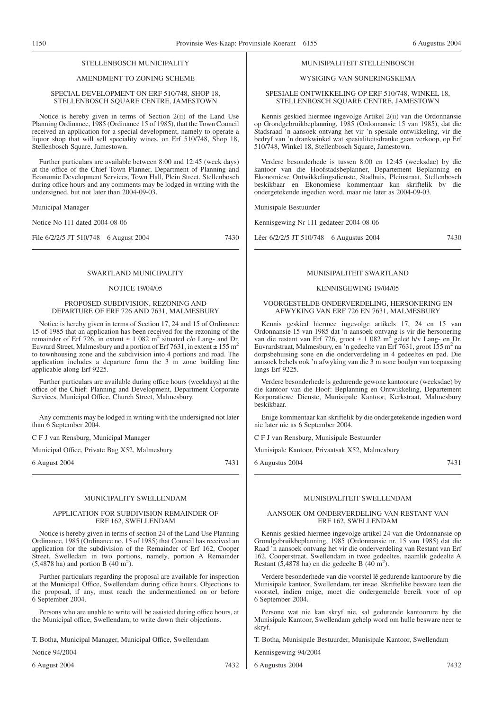# STELLENBOSCH MUNICIPALITY

# AMENDMENT TO ZONING SCHEME

#### SPECIAL DEVELOPMENT ON ERF 510/748, SHOP 18, STELLENBOSCH SQUARE CENTRE, JAMESTOWN

Notice is hereby given in terms of Section 2(ii) of the Land Use Planning Ordinance, 1985 (Ordinance 15 of 1985), that the Town Council received an application for a special development, namely to operate a liquor shop that will sell speciality wines, on Erf 510/748, Shop 18, Stellenbosch Square, Jamestown.

Further particulars are available between 8:00 and 12:45 (week days) at the office of the Chief Town Planner, Department of Planning and Economic Development Services, Town Hall, Plein Street, Stellenbosch during office hours and any comments may be lodged in writing with the undersigned, but not later than 2004-09-03.

Municipal Manager

Notice No 111 dated 2004-08-06

File 6/2/2/5 JT 510/748 6 August 2004 7430

# SWARTLAND MUNICIPALITY

#### NOTICE 19/04/05

#### PROPOSED SUBDIVISION, REZONING AND DEPARTURE OF ERF 726 AND 7631, MALMESBURY

Notice is hereby given in terms of Section 17, 24 and 15 of Ordinance 15 of 1985 that an application has been received for the rezoning of the remainder of Erf 726, in extent  $\pm$  1 082 m<sup>2</sup> situated c/o Lang- and Dr. Euvrard Street, Malmesbury and a portion of Erf 7631, in extent  $\pm$  155 m<sup>2</sup> to townhousing zone and the subdivision into 4 portions and road. The application includes a departure form the 3 m zone building line applicable along Erf 9225.

Further particulars are available during office hours (weekdays) at the office of the Chief: Planning and Development, Department Corporate Services, Municipal Office, Church Street, Malmesbury.

Any comments may be lodged in writing with the undersigned not later than 6 September 2004.

C F J van Rensburg, Municipal Manager

Municipal Office, Private Bag X52, Malmesbury

6 August 2004 7431

#### MUNICIPALITY SWELLENDAM

#### APPLICATION FOR SUBDIVISION REMAINDER OF ERF 162, SWELLENDAM

Notice is hereby given in terms of section 24 of the Land Use Planning Ordinance, 1985 (Ordinance no. 15 of 1985) that Council has received an application for the subdivision of the Remainder of Erf 162, Cooper Street, Swelledam in two portions, namely, portion A Remainder  $(5,4878 \text{ ha})$  and portion B  $(40 \text{ m}^2)$ .

Further particulars regarding the proposal are available for inspection at the Municipal Office, Swellendam during office hours. Objections to the proposal, if any, must reach the undermentioned on or before 6 September 2004.

Persons who are unable to write will be assisted during office hours, at the Municipal office, Swellendam, to write down their objections.

T. Botha, Municipal Manager, Municipal Office, Swellendam

Notice 94/2004

#### MUNISIPALITEIT STELLENBOSCH

# WYSIGING VAN SONERINGSKEMA

#### SPESIALE ONTWIKKELING OP ERF 510/748, WINKEL 18, STELLENBOSCH SQUARE CENTRE, JAMESTOWN

Kennis geskied hiermee ingevolge Artikel 2(ii) van die Ordonnansie op Grondgebruikbeplanning, 1985 (Ordonnansie 15 van 1985), dat die Stadsraad 'n aansoek ontvang het vir 'n spesiale ontwikkeling, vir die bedryf van 'n drankwinkel wat spesialiteitsdranke gaan verkoop, op Erf 510/748, Winkel 18, Stellenbosch Square, Jamestown.

Verdere besonderhede is tussen 8:00 en 12:45 (weeksdae) by die kantoor van die Hoofstadsbeplanner, Departement Beplanning en Ekonomiese Ontwikkelingsdienste, Stadhuis, Pleinstraat, Stellenbosch beskikbaar en Ekonomiese kommentaar kan skriftelik by die ondergetekende ingedien word, maar nie later as 2004-09-03.

Munisipale Bestuurder

Kennisgewing Nr 111 gedateer 2004-08-06

Lêer 6/2/2/5 JT 510/748 6 Augustus 2004 7430

#### MUNISIPALITEIT SWARTLAND

#### KENNISGEWING 19/04/05

VOORGESTELDE ONDERVERDELING, HERSONERING EN AFWYKING VAN ERF 726 EN 7631, MALMESBURY

Kennis geskied hiermee ingevolge artikels 17, 24 en 15 van Ordonnansie 15 van 1985 dat 'n aansoek ontvang is vir die hersonering van die restant van Erf 726, groot  $\pm$  1 082 m<sup>2</sup> geleë h/v Lang- en Dr. Euvrardstraat, Malmesbury, en 'n gedeelte van Erf 7631, groot 155 m<sup>2</sup> na dorpsbehuising sone en die onderverdeling in 4 gedeeltes en pad. Die aansoek behels ook 'n afwyking van die 3 m sone boulyn van toepassing langs Erf 9225.

Verdere besonderhede is gedurende gewone kantoorure (weeksdae) by die kantoor van die Hoof: Beplanning en Ontwikkeling, Departement Korporatiewe Dienste, Munisipale Kantoor, Kerkstraat, Malmesbury beskikbaar.

Enige kommentaar kan skriftelik by die ondergetekende ingedien word nie later nie as 6 September 2004.

C F J van Rensburg, Munisipale Bestuurder

Munisipale Kantoor, Privaatsak X52, Malmesbury

6 Augustus 2004 7431

# MUNISIPALITEIT SWELLENDAM

#### AANSOEK OM ONDERVERDELING VAN RESTANT VAN ERF 162, SWELLENDAM

Kennis geskied hiermee ingevolge artikel 24 van die Ordonnansie op Grondgebruikbeplanning, 1985 (Ordonnansie nr. 15 van 1985) dat die Raad 'n aansoek ontvang het vir die onderverdeling van Restant van Erf 162, Cooperstraat, Swellendam in twee gedeeltes, naamlik gedeelte A Restant (5,4878 ha) en die gedeelte B (40 m<sup>2</sup>).

Verdere besonderhede van die voorstel lê gedurende kantoorure by die Munisipale kantoor, Swellendam, ter insae. Skriftelike besware teen die voorstel, indien enige, moet die ondergemelde bereik voor of op 6 September 2004.

Persone wat nie kan skryf nie, sal gedurende kantoorure by die Munisipale Kantoor, Swellendam gehelp word om hulle besware neer te skryf.

T. Botha, Munisipale Bestuurder, Munisipale Kantoor, Swellendam

Kennisgewing 94/2004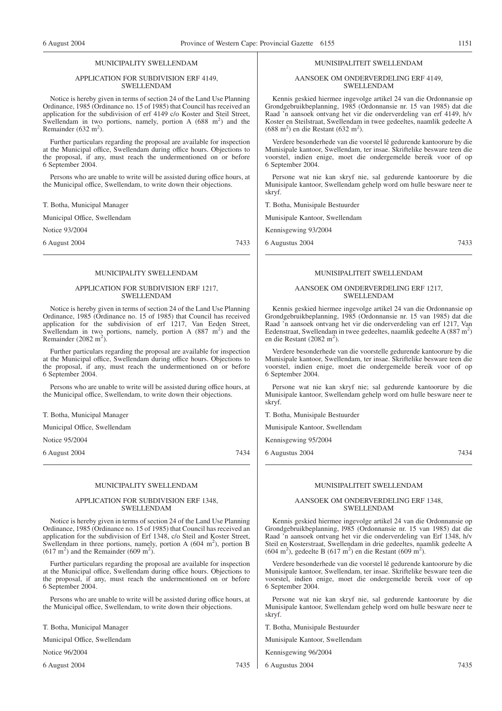#### MUNICIPALITY SWELLENDAM

#### APPLICATION FOR SUBDIVISION ERF 4149, SWELLENDAM

Notice is hereby given in terms of section 24 of the Land Use Planning Ordinance, 1985 (Ordinance no. 15 of 1985) that Council has received an application for the subdivision of erf 4149 c/o Koster and Steil Street, Swellendam in two portions, namely, portion A  $(688 \text{ m}^2)$  and the Remainder (632 m<sup>2</sup>).

Further particulars regarding the proposal are available for inspection at the Municipal office, Swellendam during office hours. Objections to the proposal, if any, must reach the undermentioned on or before 6 September 2004.

Persons who are unable to write will be assisted during office hours, at the Municipal office, Swellendam, to write down their objections.

T. Botha, Municipal Manager

Municipal Office, Swellendam

Notice 93/2004

6 August 2004 7433

#### MUNICIPALITY SWELLENDAM

#### APPLICATION FOR SUBDIVISION ERF 1217, SWELLENDAM

Notice is hereby given in terms of section 24 of the Land Use Planning Ordinance, 1985 (Ordinance no. 15 of 1985) that Council has received application for the subdivision of erf 1217, Van Eeden Street, Swellendam in two portions, namely, portion  $A(887 \text{ m}^2)$  and the Remainder  $(2082 \text{ m}^2)$ .

Further particulars regarding the proposal are available for inspection at the Municipal office, Swellendam during office hours. Objections to the proposal, if any, must reach the undermentioned on or before 6 September 2004.

Persons who are unable to write will be assisted during office hours, at the Municipal office, Swellendam, to write down their objections.

T. Botha, Municipal Manager

Municipal Office, Swellendam

Notice 95/2004

6 August 2004 7434

#### MUNICIPALITY SWELLENDAM

#### APPLICATION FOR SUBDIVISION ERF 1348, SWELLENDAM

Notice is hereby given in terms of section 24 of the Land Use Planning Ordinance, 1985 (Ordinance no. 15 of 1985) that Council has received an application for the subdivision of Erf 1348, c/o Steil and Koster Street, Swellendam in three portions, namely, portion A  $(604 \text{ m}^2)$ , portion B  $(617 \text{ m}^2)$  and the Remainder  $(609 \text{ m}^2)$ .

Further particulars regarding the proposal are available for inspection at the Municipal office, Swellendam during office hours. Objections to the proposal, if any, must reach the undermentioned on or before 6 September 2004.

Persons who are unable to write will be assisted during office hours, at the Municipal office, Swellendam, to write down their objections.

T. Botha, Municipal Manager

Municipal Office, Swellendam

Notice 96/2004

6 August 2004 7435

#### MUNISIPALITEIT SWELLENDAM

AANSOEK OM ONDERVERDELING ERF 4149, SWELLENDAM

Kennis geskied hiermee ingevolge artikel 24 van die Ordonnansie op Grondgebruikbeplanning, 1985 (Ordonnansie nr. 15 van 1985) dat die Raad 'n aansoek ontvang het vir die onderverdeling van erf 4149, h/v Koster en Steilstraat, Swellendam in twee gedeeltes, naamlik gedeelte A  $(688 \text{ m}^2)$  en die Restant  $(632 \text{ m}^2)$ .

Verdere besonderhede van die voorstel lê gedurende kantoorure by die Munisipale kantoor, Swellendam, ter insae. Skriftelike besware teen die voorstel, indien enige, moet die ondergemelde bereik voor of op 6 September 2004.

Persone wat nie kan skryf nie, sal gedurende kantoorure by die Munisipale kantoor, Swellendam gehelp word om hulle besware neer te skryf.

T. Botha, Munisipale Bestuurder

Munisipale Kantoor, Swellendam

Kennisgewing 93/2004

6 Augustus 2004 7433

# MUNISIPALITEIT SWELLENDAM

#### AANSOEK OM ONDERVERDELING ERF 1217, SWELLENDAM

Kennis geskied hiermee ingevolge artikel 24 van die Ordonnansie op Grondgebruikbeplanning, 1985 (Ordonnansie nr. 15 van 1985) dat die Raad 'n aansoek ontvang het vir die onderverdeling van erf 1217, Van Eedenstraat, Swellendam in twee gedeeltes, naamlik gedeelte A (887 m<sup>2</sup>) en die Restant (2082 m<sup>2</sup>).

Verdere besonderhede van die voorstelle gedurende kantoorure by die Munisipale kantoor, Swellendam, ter insae. Skriftelike besware teen die voorstel, indien enige, moet die ondergemelde bereik voor of op 6 September 2004.

Persone wat nie kan skryf nie; sal gedurende kantoorure by die Munisipale kantoor, Swellendam gehelp word om hulle besware neer te skryf.

T. Botha, Munisipale Bestuurder

Munisipale Kantoor, Swellendam

Kennisgewing 95/2004

6 Augustus 2004 7434

MUNISIPALITEIT SWELLENDAM

#### AANSOEK OM ONDERVERDELING ERF 1348, SWELLENDAM

Kennis geskied hiermee ingevolge artikel 24 van die Ordonnansie op Grondgebruikbeplanning, l985 (Ordonnansie nr. 15 van 1985) dat die Raad 'n aansoek ontvang het vir die onderverdeling van Erf 1348, h/v Steil en Kosterstraat, Swellendam in drie gedeeltes, naamlik gedeelte A  $(604 \text{ m}^2)$ , gedeelte B  $(617 \text{ m}^2)$  en die Restant  $(609 \text{ m}^2)$ .

Verdere besonderhede van die voorstel lê gedurende kantoorure by die Munisipale kantoor, Swellendam, ter insae. Skriftelike besware teen die voorstel, indien enige, moet die ondergemelde bereik voor of op 6 September 2004.

Persone wat nie kan skryf nie, sal gedurende kantoorure by die Munisipale kantoor, Swellendam gehelp word om hulle besware neer te skryf.

T. Botha, Munisipale Bestuurder

Munisipale Kantoor, Swellendam

Kennisgewing 96/2004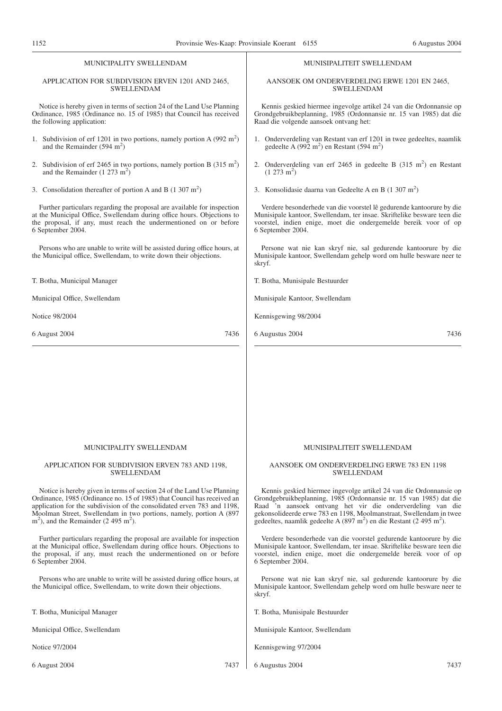# MUNICIPALITY SWELLENDAM

#### APPLICATION FOR SUBDIVISION ERVEN 1201 AND 2465, SWELLENDAM

Notice is hereby given in terms of section 24 of the Land Use Planning Ordinance, 1985 (Ordinance no. 15 of 1985) that Council has received the following application:

- 1. Subdivision of erf 1201 in two portions, namely portion A  $(992 \text{ m}^2)$ and the Remainder  $(594 \text{ m}^2)$
- 2. Subdivision of erf 2465 in two portions, namely portion B  $(315 \text{ m}^2)$ and the Remainder  $(1\ 273\ m^2)$
- 3. Consolidation thereafter of portion A and B  $(1\ 307 \text{ m}^2)$

Further particulars regarding the proposal are available for inspection at the Municipal Office, Swellendam during office hours. Objections to the proposal, if any, must reach the undermentioned on or before 6 September 2004.

Persons who are unable to write will be assisted during office hours, at the Municipal office, Swellendam, to write down their objections.

T. Botha, Municipal Manager

Municipal Office, Swellendam

Notice 98/2004

6 August 2004 7436

#### MUNISIPALITEIT SWELLENDAM

AANSOEK OM ONDERVERDELING ERWE 1201 EN 2465, SWELLENDAM

Kennis geskied hiermee ingevolge artikel 24 van die Ordonnansie op Grondgebruikbeplanning, 1985 (Ordonnansie nr. 15 van 1985) dat die Raad die volgende aansoek ontvang het:

- 1. Onderverdeling van Restant van erf 1201 in twee gedeeltes, naamlik gedeelte A (992 m<sup>2</sup>) en Restant (594 m<sup>2</sup>)
- 2. Onderverdeling van erf 2465 in gedeelte B  $(315 \text{ m}^2)$  en Restant  $(1 273 m<sup>2</sup>)$
- 3. Konsolidasie daarna van Gedeelte A en B  $(1\ 307\ m^2)$

Verdere besonderhede van die voorstel lê gedurende kantoorure by die Munisipale kantoor, Swellendam, ter insae. Skriftelike besware teen die voorstel, indien enige, moet die ondergemelde bereik voor of op 6 September 2004.

Persone wat nie kan skryf nie, sal gedurende kantoorure by die Munisipale kantoor, Swellendam gehelp word om hulle besware neer te skryf.

T. Botha, Munisipale Bestuurder

Munisipale Kantoor, Swellendam

Kennisgewing 98/2004

6 Augustus 2004 7436

#### MUNICIPALITY SWELLENDAM

#### APPLICATION FOR SUBDIVISION ERVEN 783 AND 1198, SWELLENDAM

Notice is hereby given in terms of section 24 of the Land Use Planning Ordinance, 1985 (Ordinance no. 15 of 1985) that Council has received an application for the subdivision of the consolidated erven 783 and 1198, Moolman Street, Swellendam in two portions, namely, portion A (897  $\text{m}^2$ ), and the Remainder (2 495 m<sup>2</sup>).

Further particulars regarding the proposal are available for inspection at the Municipal office, Swellendam during office hours. Objections to the proposal, if any, must reach the undermentioned on or before 6 September 2004.

Persons who are unable to write will be assisted during office hours, at the Municipal office, Swellendam, to write down their objections.

T. Botha, Municipal Manager

Municipal Office, Swellendam

Notice 97/2004

6 August 2004 7437

# MUNISIPALITEIT SWELLENDAM

#### AANSOEK OM ONDERVERDELING ERWE 783 EN 1198 SWELLENDAM

Kennis geskied hiermee ingevolge artikel 24 van die Ordonnansie op Grondgebruikbeplanning, 1985 (Ordonnansie nr. 15 van 1985) dat die Raad 'n aansoek ontvang het vir die onderverdeling van die gekonsolideerde erwe 783 en 1198, Moolmanstraat, Swellendam in twee gedeeltes, naamlik gedeelte A (897 m<sup>2</sup>) en die Restant (2 495 m<sup>2</sup>).

Verdere besonderhede van die voorstel gedurende kantoorure by die Munisipale kantoor, Swellendam, ter insae. Skriftelike besware teen die voorstel, indien enige, moet die ondergemelde bereik voor of op 6 September 2004.

Persone wat nie kan skryf nie, sal gedurende kantoorure by die Munisipale kantoor, Swellendam gehelp word om hulle besware neer te skryf.

T. Botha, Munisipale Bestuurder

Munisipale Kantoor, Swellendam

Kennisgewing 97/2004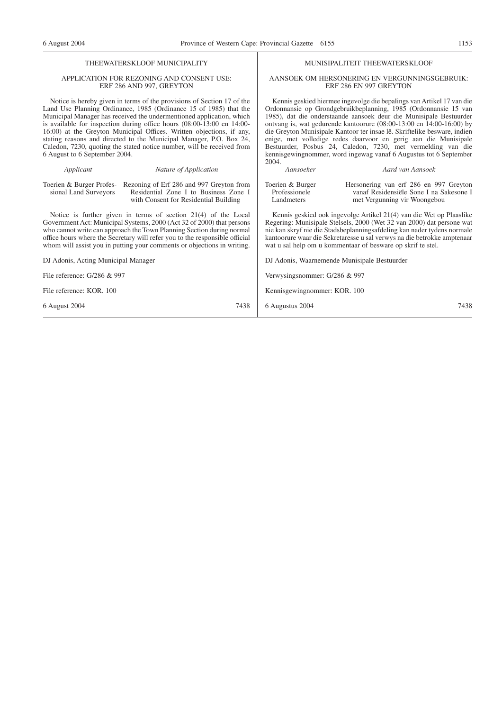MUNISIPALITEIT THEEWATERSKLOOF AANSOEK OM HERSONERING EN VERGUNNINGSGEBRUIK: ERF 286 EN 997 GREYTON Kennis geskied hiermee ingevolge die bepalings van Artikel 17 van die Ordonnansie op Grondgebruikbeplanning, 1985 (Ordonnansie 15 van 1985), dat die onderstaande aansoek deur die Munisipale Bestuurder ontvang is, wat gedurende kantoorure (08:00-13:00 en 14:00-16:00) by die Greyton Munisipale Kantoor ter insae lê. Skriftelike besware, indien enige, met volledige redes daarvoor en gerig aan die Munisipale Bestuurder, Posbus 24, Caledon, 7230, met vermelding van die kennisgewingnommer, word ingewag vanaf 6 Augustus tot 6 September

#### THEEWATERSKLOOF MUNICIPALITY

#### APPLICATION FOR REZONING AND CONSENT USE: ERF 286 AND 997, GREYTON

Notice is hereby given in terms of the provisions of Section 17 of the Land Use Planning Ordinance, 1985 (Ordinance 15 of 1985) that the Municipal Manager has received the undermentioned application, which is available for inspection during office hours (08:00-13:00 en 14:00- 16:00) at the Greyton Municipal Offices. Written objections, if any, stating reasons and directed to the Municipal Manager, P.O. Box 24, Caledon, 7230, quoting the stated notice number, will be received from 6 August to 6 September 2004.

#### *Applicant Nature of Application* Toerien & Burger Profes-Rezoning of Erf 286 and 997 Greyton from sional Land Surveyors Residential Zone I to Business Zone I with Consent for Residential Building Notice is further given in terms of section 21(4) of the Local Government Act: Municipal Systems, 2000 (Act 32 of 2000) that persons who cannot write can approach the Town Planning Section during normal office hours where the Secretary will refer you to the responsible official whom will assist you in putting your comments or objections in writing. DJ Adonis, Acting Municipal Manager File reference: G/286 & 997 File reference: KOR. 100 6 August 2004 7438 2004. *Aansoeker Aard van Aansoek* Toerien & Burger Professionele Landmeters Hersonering van erf 286 en 997 Greyton vanaf Residensiële Sone I na Sakesone I met Vergunning vir Woongebou Kennis geskied ook ingevolge Artikel 21(4) van die Wet op Plaaslike Regering: Munisipale Stelsels, 2000 (Wet 32 van 2000) dat persone wat nie kan skryf nie die Stadsbeplanningsafdeling kan nader tydens normale kantoorure waar die Sekretaresse u sal verwys na die betrokke amptenaar wat u sal help om u kommentaar of besware op skrif te stel. DJ Adonis, Waarnemende Munisipale Bestuurder Verwysingsnommer: G/286 & 997 Kennisgewingnommer: KOR. 100 6 Augustus 2004 7438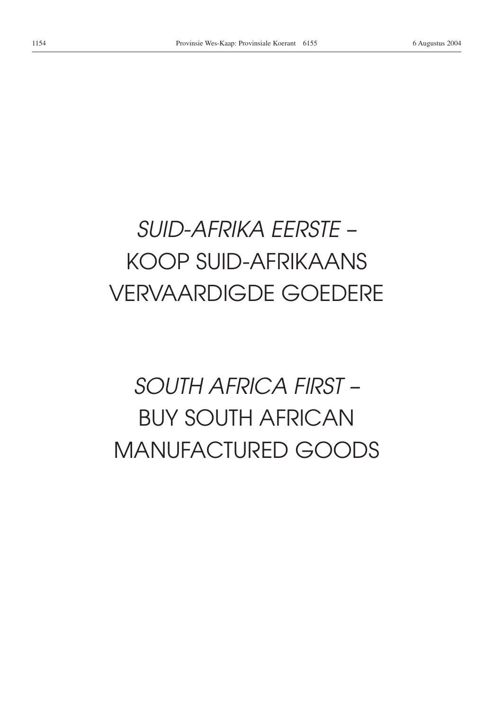# *SUID-AFRIKA EERSTE –* KOOP SUID-AFRIKAANS VERVAARDIGDE GOEDERE

# *SOUTH AFRICA FIRST –* BUY SOUTH AFRICAN MANUFACTURED GOODS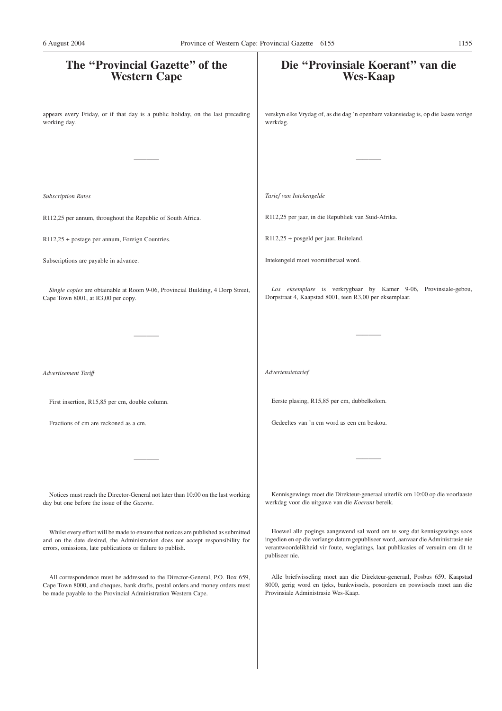| The "Provincial Gazette" of the<br><b>Western Cape</b>                                                                                                                                                                              | Die "Provinsiale Koerant" van die<br><b>Wes-Kaap</b>                                                                                                                                                                                                                |
|-------------------------------------------------------------------------------------------------------------------------------------------------------------------------------------------------------------------------------------|---------------------------------------------------------------------------------------------------------------------------------------------------------------------------------------------------------------------------------------------------------------------|
| appears every Friday, or if that day is a public holiday, on the last preceding<br>working day.                                                                                                                                     | verskyn elke Vrydag of, as die dag 'n openbare vakansiedag is, op die laaste vorige<br>werkdag.                                                                                                                                                                     |
|                                                                                                                                                                                                                                     |                                                                                                                                                                                                                                                                     |
| <b>Subscription Rates</b>                                                                                                                                                                                                           | Tarief van Intekengelde                                                                                                                                                                                                                                             |
| R112,25 per annum, throughout the Republic of South Africa.                                                                                                                                                                         | R112,25 per jaar, in die Republiek van Suid-Afrika.                                                                                                                                                                                                                 |
| R112,25 + postage per annum, Foreign Countries.                                                                                                                                                                                     | R112,25 + posgeld per jaar, Buiteland.                                                                                                                                                                                                                              |
| Subscriptions are payable in advance.                                                                                                                                                                                               | Intekengeld moet vooruitbetaal word.                                                                                                                                                                                                                                |
| Single copies are obtainable at Room 9-06, Provincial Building, 4 Dorp Street,<br>Cape Town 8001, at R3,00 per copy.                                                                                                                | Los eksemplare is verkrygbaar by Kamer 9-06, Provinsiale-gebou,<br>Dorpstraat 4, Kaapstad 8001, teen R3,00 per eksemplaar.                                                                                                                                          |
|                                                                                                                                                                                                                                     |                                                                                                                                                                                                                                                                     |
| Advertisement Tariff                                                                                                                                                                                                                | Advertensietarief                                                                                                                                                                                                                                                   |
| First insertion, R15,85 per cm, double column.                                                                                                                                                                                      | Eerste plasing, R15,85 per cm, dubbelkolom.                                                                                                                                                                                                                         |
| Fractions of cm are reckoned as a cm.                                                                                                                                                                                               | Gedeeltes van 'n cm word as een cm beskou.                                                                                                                                                                                                                          |
|                                                                                                                                                                                                                                     |                                                                                                                                                                                                                                                                     |
| Notices must reach the Director-General not later than 10:00 on the last working<br>day but one before the issue of the Gazette.                                                                                                    | Kennisgewings moet die Direkteur-generaal uiterlik om 10:00 op die voorlaaste<br>werkdag voor die uitgawe van die Koerant bereik.                                                                                                                                   |
| Whilst every effort will be made to ensure that notices are published as submitted<br>and on the date desired, the Administration does not accept responsibility for<br>errors, omissions, late publications or failure to publish. | Hoewel alle pogings aangewend sal word om te sorg dat kennisgewings soos<br>ingedien en op die verlange datum gepubliseer word, aanvaar die Administrasie nie<br>verantwoordelikheid vir foute, weglatings, laat publikasies of versuim om dit te<br>publiseer nie. |
| All correspondence must be addressed to the Director-General, P.O. Box 659,<br>Cape Town 8000, and cheques, bank drafts, postal orders and money orders must<br>be made payable to the Provincial Administration Western Cape.      | Alle briefwisseling moet aan die Direkteur-generaal, Posbus 659, Kaapstad<br>8000, gerig word en tjeks, bankwissels, posorders en poswissels moet aan die<br>Provinsiale Administrasie Wes-Kaap.                                                                    |
|                                                                                                                                                                                                                                     |                                                                                                                                                                                                                                                                     |
|                                                                                                                                                                                                                                     |                                                                                                                                                                                                                                                                     |